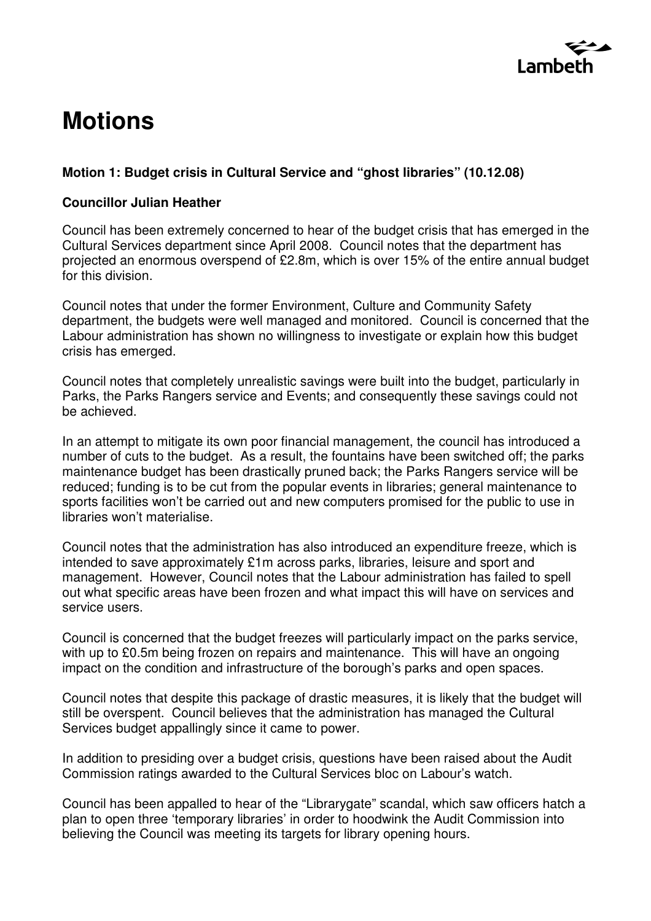

# **Motions**

# **Motion 1: Budget crisis in Cultural Service and "ghost libraries" (10.12.08)**

### **Councillor Julian Heather**

Council has been extremely concerned to hear of the budget crisis that has emerged in the Cultural Services department since April 2008. Council notes that the department has projected an enormous overspend of £2.8m, which is over 15% of the entire annual budget for this division.

Council notes that under the former Environment, Culture and Community Safety department, the budgets were well managed and monitored. Council is concerned that the Labour administration has shown no willingness to investigate or explain how this budget crisis has emerged.

Council notes that completely unrealistic savings were built into the budget, particularly in Parks, the Parks Rangers service and Events; and consequently these savings could not be achieved.

In an attempt to mitigate its own poor financial management, the council has introduced a number of cuts to the budget. As a result, the fountains have been switched off; the parks maintenance budget has been drastically pruned back; the Parks Rangers service will be reduced; funding is to be cut from the popular events in libraries; general maintenance to sports facilities won't be carried out and new computers promised for the public to use in libraries won't materialise.

Council notes that the administration has also introduced an expenditure freeze, which is intended to save approximately £1m across parks, libraries, leisure and sport and management. However, Council notes that the Labour administration has failed to spell out what specific areas have been frozen and what impact this will have on services and service users.

Council is concerned that the budget freezes will particularly impact on the parks service, with up to £0.5m being frozen on repairs and maintenance. This will have an ongoing impact on the condition and infrastructure of the borough's parks and open spaces.

Council notes that despite this package of drastic measures, it is likely that the budget will still be overspent. Council believes that the administration has managed the Cultural Services budget appallingly since it came to power.

In addition to presiding over a budget crisis, questions have been raised about the Audit Commission ratings awarded to the Cultural Services bloc on Labour's watch.

Council has been appalled to hear of the "Librarygate" scandal, which saw officers hatch a plan to open three 'temporary libraries' in order to hoodwink the Audit Commission into believing the Council was meeting its targets for library opening hours.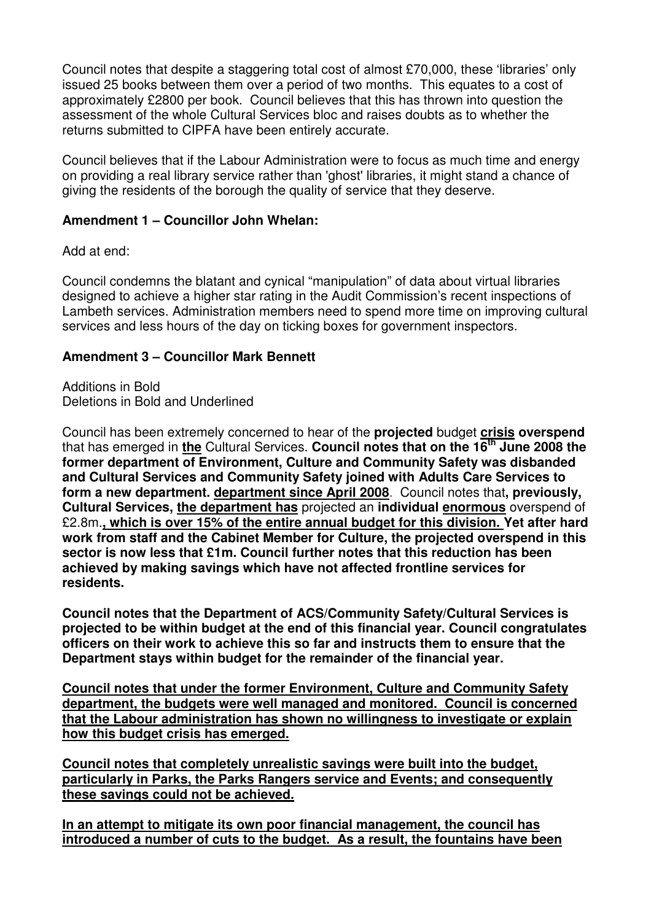Council notes that despite a staggering total cost of almost £70,000, these 'libraries' only issued 25 books between them over a period of two months. This equates to a cost of approximately £2800 per book. Council believes that this has thrown into question the assessment of the whole Cultural Services bloc and raises doubts as to whether the returns submitted to CIPFA have been entirely accurate.

Council believes that if the Labour Administration were to focus as much time and energy on providing a real library service rather than 'ghost' libraries, it might stand a chance of giving the residents of the borough the quality of service that they deserve.

# **Amendment 1 – Councillor John Whelan:**

Add at end:

Council condemns the blatant and cynical "manipulation" of data about virtual libraries designed to achieve a higher star rating in the Audit Commission's recent inspections of Lambeth services. Administration members need to spend more time on improving cultural services and less hours of the day on ticking boxes for government inspectors.

# **Amendment 3 – Councillor Mark Bennett**

Additions in Bold Deletions in Bold and Underlined

Council has been extremely concerned to hear of the **projected** budget **crisis overspend** that has emerged in **the** Cultural Services. **Council notes that on the 16th June 2008 the former department of Environment, Culture and Community Safety was disbanded and Cultural Services and Community Safety joined with Adults Care Services to form a new department. department since April 2008**. Council notes that**, previously, Cultural Services, the department has** projected an **individual enormous** overspend of £2.8m.**, which is over 15% of the entire annual budget for this division. Yet after hard work from staff and the Cabinet Member for Culture, the projected overspend in this sector is now less that £1m. Council further notes that this reduction has been achieved by making savings which have not affected frontline services for residents.** 

**Council notes that the Department of ACS/Community Safety/Cultural Services is projected to be within budget at the end of this financial year. Council congratulates officers on their work to achieve this so far and instructs them to ensure that the Department stays within budget for the remainder of the financial year.** 

**Council notes that under the former Environment, Culture and Community Safety department, the budgets were well managed and monitored. Council is concerned that the Labour administration has shown no willingness to investigate or explain how this budget crisis has emerged.**

**Council notes that completely unrealistic savings were built into the budget, particularly in Parks, the Parks Rangers service and Events; and consequently these savings could not be achieved.**

**In an attempt to mitigate its own poor financial management, the council has introduced a number of cuts to the budget. As a result, the fountains have been**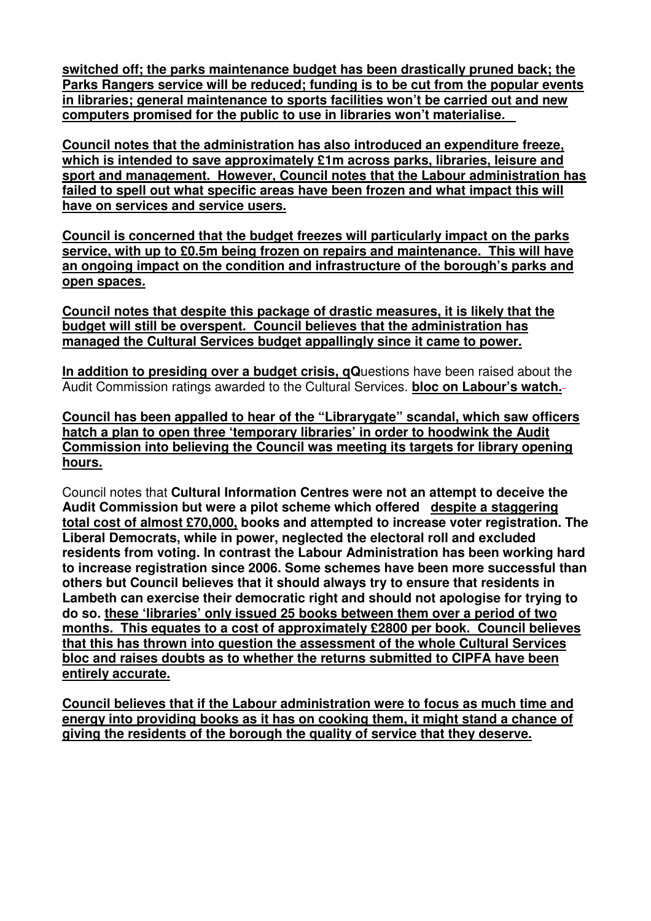**switched off; the parks maintenance budget has been drastically pruned back; the Parks Rangers service will be reduced; funding is to be cut from the popular events in libraries; general maintenance to sports facilities won't be carried out and new computers promised for the public to use in libraries won't materialise.** 

**Council notes that the administration has also introduced an expenditure freeze, which is intended to save approximately £1m across parks, libraries, leisure and sport and management. However, Council notes that the Labour administration has failed to spell out what specific areas have been frozen and what impact this will have on services and service users.**

**Council is concerned that the budget freezes will particularly impact on the parks service, with up to £0.5m being frozen on repairs and maintenance. This will have an ongoing impact on the condition and infrastructure of the borough's parks and open spaces.**

**Council notes that despite this package of drastic measures, it is likely that the budget will still be overspent. Council believes that the administration has managed the Cultural Services budget appallingly since it came to power.**

**In addition to presiding over a budget crisis, qQ**uestions have been raised about the Audit Commission ratings awarded to the Cultural Services. **bloc on Labour's watch.**

**Council has been appalled to hear of the "Librarygate" scandal, which saw officers hatch a plan to open three 'temporary libraries' in order to hoodwink the Audit Commission into believing the Council was meeting its targets for library opening hours.**

Council notes that **Cultural Information Centres were not an attempt to deceive the Audit Commission but were a pilot scheme which offered despite a staggering total cost of almost £70,000, books and attempted to increase voter registration. The Liberal Democrats, while in power, neglected the electoral roll and excluded residents from voting. In contrast the Labour Administration has been working hard to increase registration since 2006. Some schemes have been more successful than others but Council believes that it should always try to ensure that residents in Lambeth can exercise their democratic right and should not apologise for trying to do so. these 'libraries' only issued 25 books between them over a period of two months. This equates to a cost of approximately £2800 per book. Council believes that this has thrown into question the assessment of the whole Cultural Services bloc and raises doubts as to whether the returns submitted to CIPFA have been entirely accurate.**

**Council believes that if the Labour administration were to focus as much time and energy into providing books as it has on cooking them, it might stand a chance of giving the residents of the borough the quality of service that they deserve.**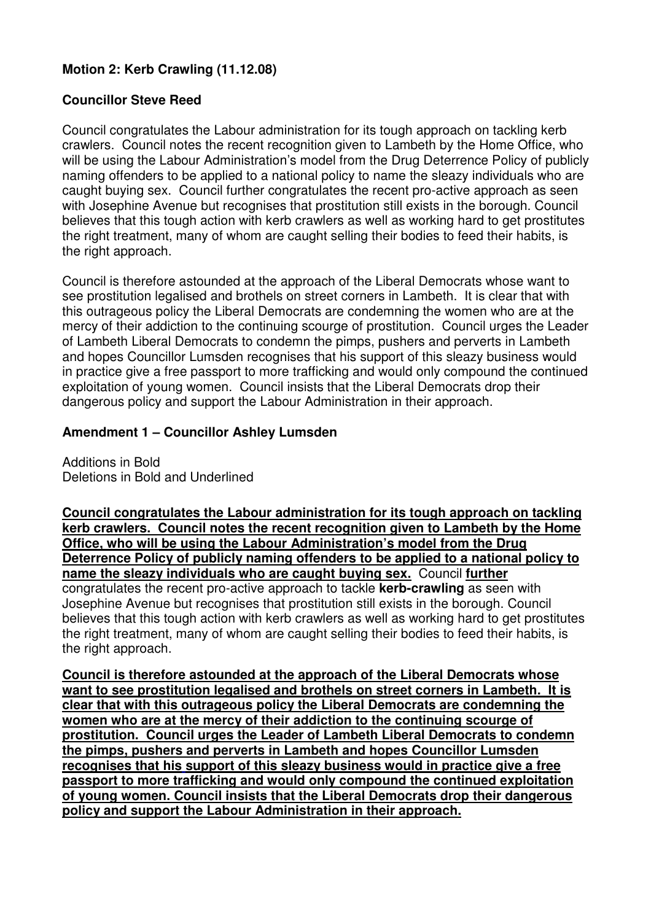# **Motion 2: Kerb Crawling (11.12.08)**

# **Councillor Steve Reed**

Council congratulates the Labour administration for its tough approach on tackling kerb crawlers. Council notes the recent recognition given to Lambeth by the Home Office, who will be using the Labour Administration's model from the Drug Deterrence Policy of publicly naming offenders to be applied to a national policy to name the sleazy individuals who are caught buying sex. Council further congratulates the recent pro-active approach as seen with Josephine Avenue but recognises that prostitution still exists in the borough. Council believes that this tough action with kerb crawlers as well as working hard to get prostitutes the right treatment, many of whom are caught selling their bodies to feed their habits, is the right approach.

Council is therefore astounded at the approach of the Liberal Democrats whose want to see prostitution legalised and brothels on street corners in Lambeth. It is clear that with this outrageous policy the Liberal Democrats are condemning the women who are at the mercy of their addiction to the continuing scourge of prostitution. Council urges the Leader of Lambeth Liberal Democrats to condemn the pimps, pushers and perverts in Lambeth and hopes Councillor Lumsden recognises that his support of this sleazy business would in practice give a free passport to more trafficking and would only compound the continued exploitation of young women. Council insists that the Liberal Democrats drop their dangerous policy and support the Labour Administration in their approach.

# **Amendment 1 – Councillor Ashley Lumsden**

Additions in Bold Deletions in Bold and Underlined

**Council congratulates the Labour administration for its tough approach on tackling kerb crawlers. Council notes the recent recognition given to Lambeth by the Home Office, who will be using the Labour Administration's model from the Drug Deterrence Policy of publicly naming offenders to be applied to a national policy to name the sleazy individuals who are caught buying sex.** Council **further** congratulates the recent pro-active approach to tackle **kerb-crawling** as seen with Josephine Avenue but recognises that prostitution still exists in the borough. Council believes that this tough action with kerb crawlers as well as working hard to get prostitutes the right treatment, many of whom are caught selling their bodies to feed their habits, is the right approach.

**Council is therefore astounded at the approach of the Liberal Democrats whose want to see prostitution legalised and brothels on street corners in Lambeth. It is clear that with this outrageous policy the Liberal Democrats are condemning the women who are at the mercy of their addiction to the continuing scourge of prostitution. Council urges the Leader of Lambeth Liberal Democrats to condemn the pimps, pushers and perverts in Lambeth and hopes Councillor Lumsden recognises that his support of this sleazy business would in practice give a free passport to more trafficking and would only compound the continued exploitation of young women. Council insists that the Liberal Democrats drop their dangerous policy and support the Labour Administration in their approach.**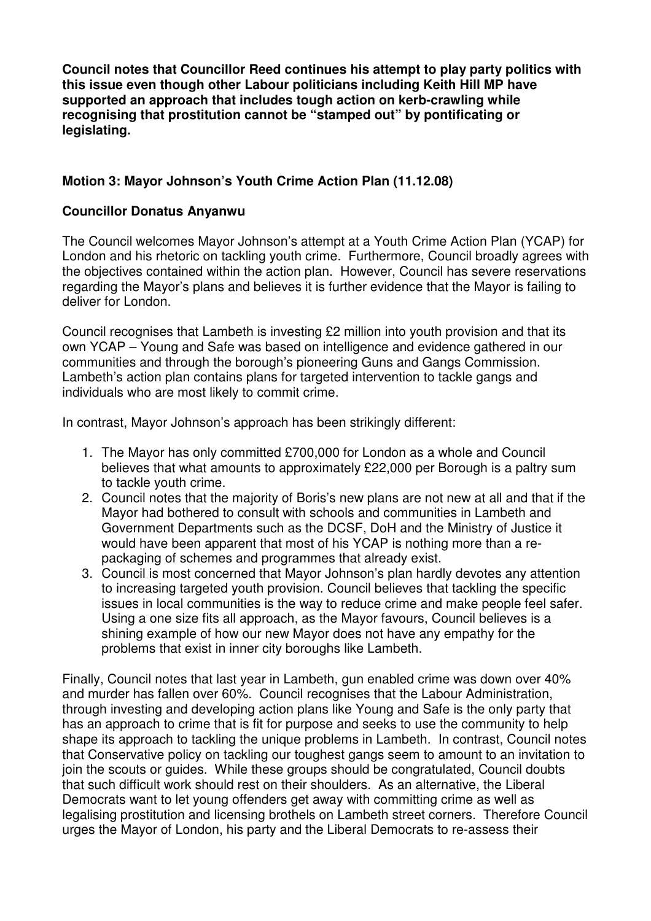**Council notes that Councillor Reed continues his attempt to play party politics with this issue even though other Labour politicians including Keith Hill MP have supported an approach that includes tough action on kerb-crawling while recognising that prostitution cannot be "stamped out" by pontificating or legislating.**

# **Motion 3: Mayor Johnson's Youth Crime Action Plan (11.12.08)**

# **Councillor Donatus Anyanwu**

The Council welcomes Mayor Johnson's attempt at a Youth Crime Action Plan (YCAP) for London and his rhetoric on tackling youth crime. Furthermore, Council broadly agrees with the objectives contained within the action plan. However, Council has severe reservations regarding the Mayor's plans and believes it is further evidence that the Mayor is failing to deliver for London.

Council recognises that Lambeth is investing £2 million into youth provision and that its own YCAP – Young and Safe was based on intelligence and evidence gathered in our communities and through the borough's pioneering Guns and Gangs Commission. Lambeth's action plan contains plans for targeted intervention to tackle gangs and individuals who are most likely to commit crime.

In contrast, Mayor Johnson's approach has been strikingly different:

- 1. The Mayor has only committed £700,000 for London as a whole and Council believes that what amounts to approximately £22,000 per Borough is a paltry sum to tackle youth crime.
- 2. Council notes that the majority of Boris's new plans are not new at all and that if the Mayor had bothered to consult with schools and communities in Lambeth and Government Departments such as the DCSF, DoH and the Ministry of Justice it would have been apparent that most of his YCAP is nothing more than a repackaging of schemes and programmes that already exist.
- 3. Council is most concerned that Mayor Johnson's plan hardly devotes any attention to increasing targeted youth provision. Council believes that tackling the specific issues in local communities is the way to reduce crime and make people feel safer. Using a one size fits all approach, as the Mayor favours, Council believes is a shining example of how our new Mayor does not have any empathy for the problems that exist in inner city boroughs like Lambeth.

Finally, Council notes that last year in Lambeth, gun enabled crime was down over 40% and murder has fallen over 60%. Council recognises that the Labour Administration, through investing and developing action plans like Young and Safe is the only party that has an approach to crime that is fit for purpose and seeks to use the community to help shape its approach to tackling the unique problems in Lambeth. In contrast, Council notes that Conservative policy on tackling our toughest gangs seem to amount to an invitation to join the scouts or guides. While these groups should be congratulated, Council doubts that such difficult work should rest on their shoulders. As an alternative, the Liberal Democrats want to let young offenders get away with committing crime as well as legalising prostitution and licensing brothels on Lambeth street corners. Therefore Council urges the Mayor of London, his party and the Liberal Democrats to re-assess their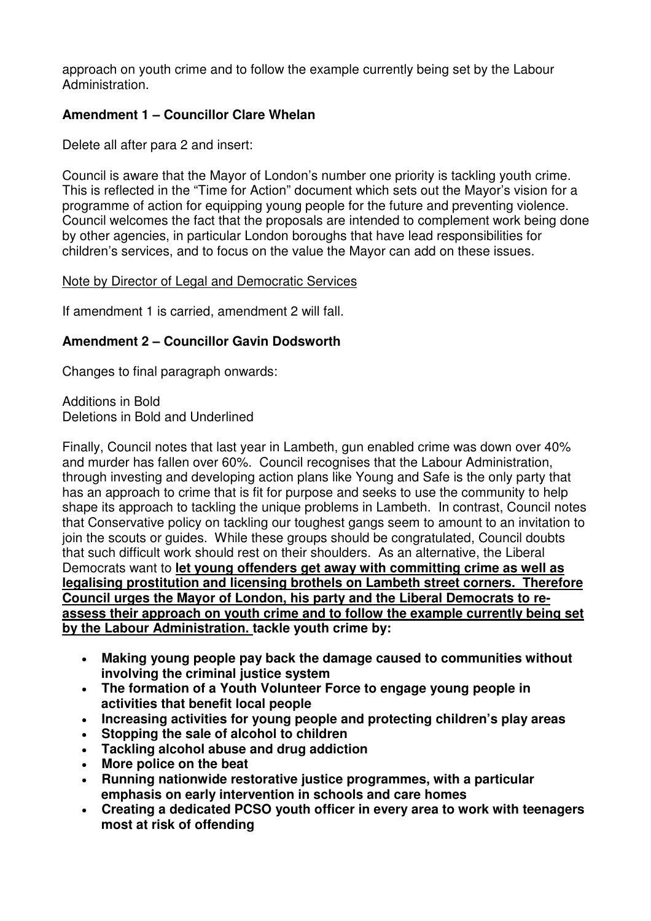approach on youth crime and to follow the example currently being set by the Labour Administration.

# **Amendment 1 – Councillor Clare Whelan**

Delete all after para 2 and insert:

Council is aware that the Mayor of London's number one priority is tackling youth crime. This is reflected in the "Time for Action" document which sets out the Mayor's vision for a programme of action for equipping young people for the future and preventing violence. Council welcomes the fact that the proposals are intended to complement work being done by other agencies, in particular London boroughs that have lead responsibilities for children's services, and to focus on the value the Mayor can add on these issues.

# Note by Director of Legal and Democratic Services

If amendment 1 is carried, amendment 2 will fall.

# **Amendment 2 – Councillor Gavin Dodsworth**

Changes to final paragraph onwards:

Additions in Bold Deletions in Bold and Underlined

Finally, Council notes that last year in Lambeth, gun enabled crime was down over 40% and murder has fallen over 60%. Council recognises that the Labour Administration, through investing and developing action plans like Young and Safe is the only party that has an approach to crime that is fit for purpose and seeks to use the community to help shape its approach to tackling the unique problems in Lambeth. In contrast, Council notes that Conservative policy on tackling our toughest gangs seem to amount to an invitation to join the scouts or guides. While these groups should be congratulated, Council doubts that such difficult work should rest on their shoulders. As an alternative, the Liberal Democrats want to **let young offenders get away with committing crime as well as legalising prostitution and licensing brothels on Lambeth street corners. Therefore Council urges the Mayor of London, his party and the Liberal Democrats to reassess their approach on youth crime and to follow the example currently being set by the Labour Administration. tackle youth crime by:** 

- **Making young people pay back the damage caused to communities without involving the criminal justice system**
- **The formation of a Youth Volunteer Force to engage young people in activities that benefit local people**
- **Increasing activities for young people and protecting children's play areas**
- **Stopping the sale of alcohol to children**
- **Tackling alcohol abuse and drug addiction**
- **More police on the beat**
- **Running nationwide restorative justice programmes, with a particular emphasis on early intervention in schools and care homes**
- **Creating a dedicated PCSO youth officer in every area to work with teenagers most at risk of offending**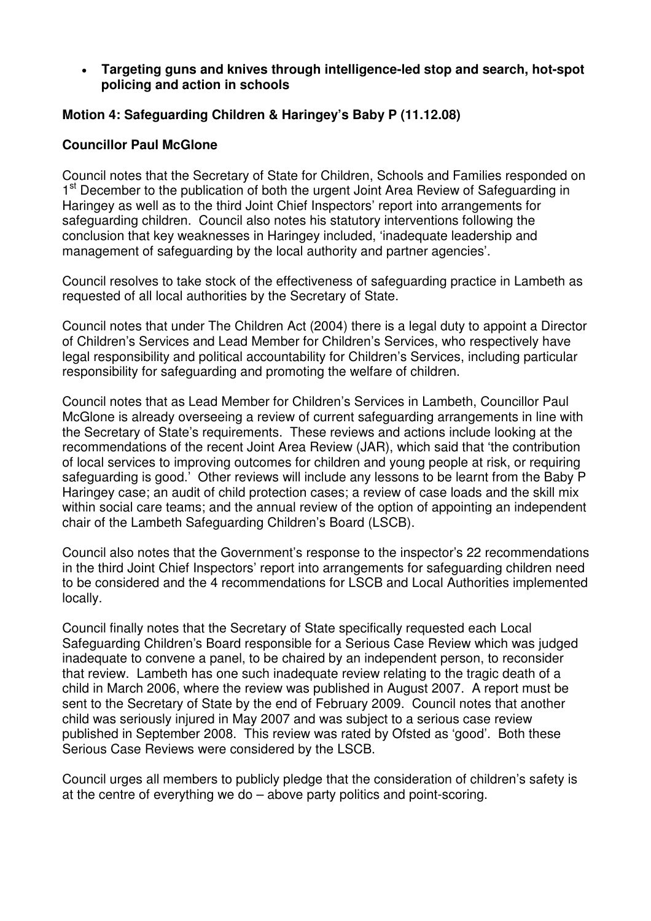### • **Targeting guns and knives through intelligence-led stop and search, hot-spot policing and action in schools**

# **Motion 4: Safeguarding Children & Haringey's Baby P (11.12.08)**

### **Councillor Paul McGlone**

Council notes that the Secretary of State for Children, Schools and Families responded on 1<sup>st</sup> December to the publication of both the urgent Joint Area Review of Safeguarding in Haringey as well as to the third Joint Chief Inspectors' report into arrangements for safeguarding children. Council also notes his statutory interventions following the conclusion that key weaknesses in Haringey included, 'inadequate leadership and management of safeguarding by the local authority and partner agencies'.

Council resolves to take stock of the effectiveness of safeguarding practice in Lambeth as requested of all local authorities by the Secretary of State.

Council notes that under The Children Act (2004) there is a legal duty to appoint a Director of Children's Services and Lead Member for Children's Services, who respectively have legal responsibility and political accountability for Children's Services, including particular responsibility for safeguarding and promoting the welfare of children.

Council notes that as Lead Member for Children's Services in Lambeth, Councillor Paul McGlone is already overseeing a review of current safeguarding arrangements in line with the Secretary of State's requirements. These reviews and actions include looking at the recommendations of the recent Joint Area Review (JAR), which said that 'the contribution of local services to improving outcomes for children and young people at risk, or requiring safeguarding is good.' Other reviews will include any lessons to be learnt from the Baby P Haringey case; an audit of child protection cases; a review of case loads and the skill mix within social care teams; and the annual review of the option of appointing an independent chair of the Lambeth Safeguarding Children's Board (LSCB).

Council also notes that the Government's response to the inspector's 22 recommendations in the third Joint Chief Inspectors' report into arrangements for safeguarding children need to be considered and the 4 recommendations for LSCB and Local Authorities implemented locally.

Council finally notes that the Secretary of State specifically requested each Local Safeguarding Children's Board responsible for a Serious Case Review which was judged inadequate to convene a panel, to be chaired by an independent person, to reconsider that review. Lambeth has one such inadequate review relating to the tragic death of a child in March 2006, where the review was published in August 2007. A report must be sent to the Secretary of State by the end of February 2009. Council notes that another child was seriously injured in May 2007 and was subject to a serious case review published in September 2008. This review was rated by Ofsted as 'good'. Both these Serious Case Reviews were considered by the LSCB.

Council urges all members to publicly pledge that the consideration of children's safety is at the centre of everything we do – above party politics and point-scoring.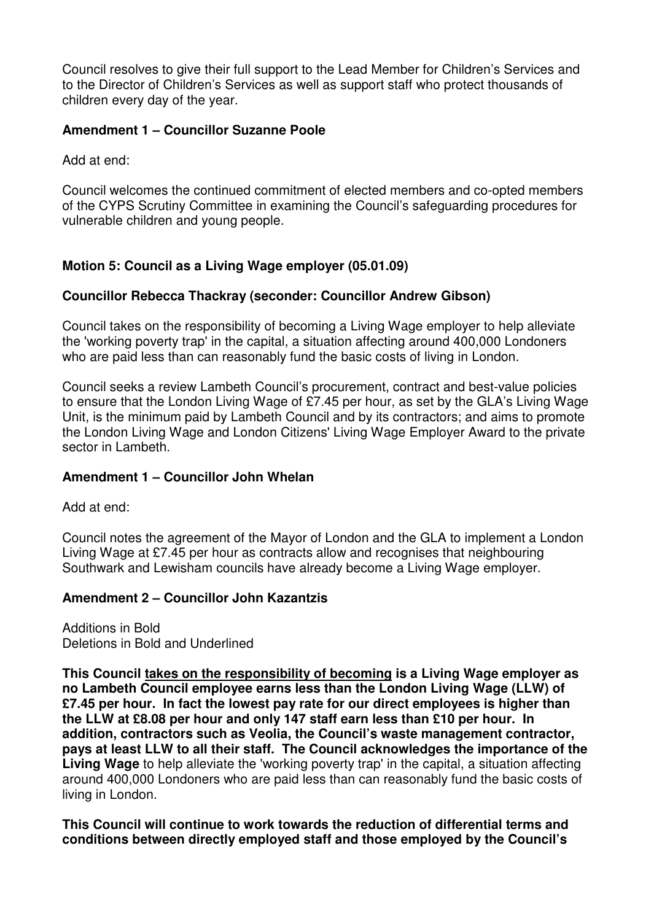Council resolves to give their full support to the Lead Member for Children's Services and to the Director of Children's Services as well as support staff who protect thousands of children every day of the year.

# **Amendment 1 – Councillor Suzanne Poole**

Add at end:

Council welcomes the continued commitment of elected members and co-opted members of the CYPS Scrutiny Committee in examining the Council's safeguarding procedures for vulnerable children and young people.

# **Motion 5: Council as a Living Wage employer (05.01.09)**

# **Councillor Rebecca Thackray (seconder: Councillor Andrew Gibson)**

Council takes on the responsibility of becoming a Living Wage employer to help alleviate the 'working poverty trap' in the capital, a situation affecting around 400,000 Londoners who are paid less than can reasonably fund the basic costs of living in London.

Council seeks a review Lambeth Council's procurement, contract and best-value policies to ensure that the London Living Wage of £7.45 per hour, as set by the GLA's Living Wage Unit, is the minimum paid by Lambeth Council and by its contractors; and aims to promote the London Living Wage and London Citizens' Living Wage Employer Award to the private sector in Lambeth.

# **Amendment 1 – Councillor John Whelan**

Add at end:

Council notes the agreement of the Mayor of London and the GLA to implement a London Living Wage at £7.45 per hour as contracts allow and recognises that neighbouring Southwark and Lewisham councils have already become a Living Wage employer.

# **Amendment 2 – Councillor John Kazantzis**

Additions in Bold Deletions in Bold and Underlined

**This Council takes on the responsibility of becoming is a Living Wage employer as no Lambeth Council employee earns less than the London Living Wage (LLW) of £7.45 per hour. In fact the lowest pay rate for our direct employees is higher than the LLW at £8.08 per hour and only 147 staff earn less than £10 per hour. In addition, contractors such as Veolia, the Council's waste management contractor, pays at least LLW to all their staff. The Council acknowledges the importance of the Living Wage** to help alleviate the 'working poverty trap' in the capital, a situation affecting around 400,000 Londoners who are paid less than can reasonably fund the basic costs of living in London.

**This Council will continue to work towards the reduction of differential terms and conditions between directly employed staff and those employed by the Council's**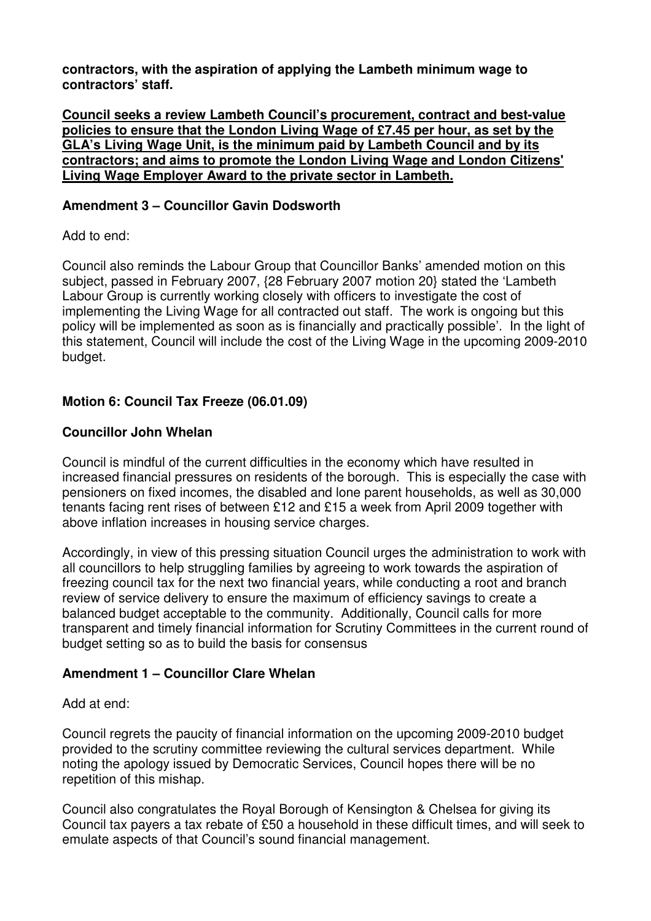**contractors, with the aspiration of applying the Lambeth minimum wage to contractors' staff.** 

**Council seeks a review Lambeth Council's procurement, contract and best-value policies to ensure that the London Living Wage of £7.45 per hour, as set by the GLA's Living Wage Unit, is the minimum paid by Lambeth Council and by its contractors; and aims to promote the London Living Wage and London Citizens' Living Wage Employer Award to the private sector in Lambeth.**

### **Amendment 3 – Councillor Gavin Dodsworth**

Add to end:

Council also reminds the Labour Group that Councillor Banks' amended motion on this subject, passed in February 2007, {28 February 2007 motion 20} stated the 'Lambeth Labour Group is currently working closely with officers to investigate the cost of implementing the Living Wage for all contracted out staff. The work is ongoing but this policy will be implemented as soon as is financially and practically possible'. In the light of this statement, Council will include the cost of the Living Wage in the upcoming 2009-2010 budget.

# **Motion 6: Council Tax Freeze (06.01.09)**

# **Councillor John Whelan**

Council is mindful of the current difficulties in the economy which have resulted in increased financial pressures on residents of the borough. This is especially the case with pensioners on fixed incomes, the disabled and lone parent households, as well as 30,000 tenants facing rent rises of between £12 and £15 a week from April 2009 together with above inflation increases in housing service charges.

Accordingly, in view of this pressing situation Council urges the administration to work with all councillors to help struggling families by agreeing to work towards the aspiration of freezing council tax for the next two financial years, while conducting a root and branch review of service delivery to ensure the maximum of efficiency savings to create a balanced budget acceptable to the community. Additionally, Council calls for more transparent and timely financial information for Scrutiny Committees in the current round of budget setting so as to build the basis for consensus

# **Amendment 1 – Councillor Clare Whelan**

### Add at end:

Council regrets the paucity of financial information on the upcoming 2009-2010 budget provided to the scrutiny committee reviewing the cultural services department. While noting the apology issued by Democratic Services, Council hopes there will be no repetition of this mishap.

Council also congratulates the Royal Borough of Kensington & Chelsea for giving its Council tax payers a tax rebate of £50 a household in these difficult times, and will seek to emulate aspects of that Council's sound financial management.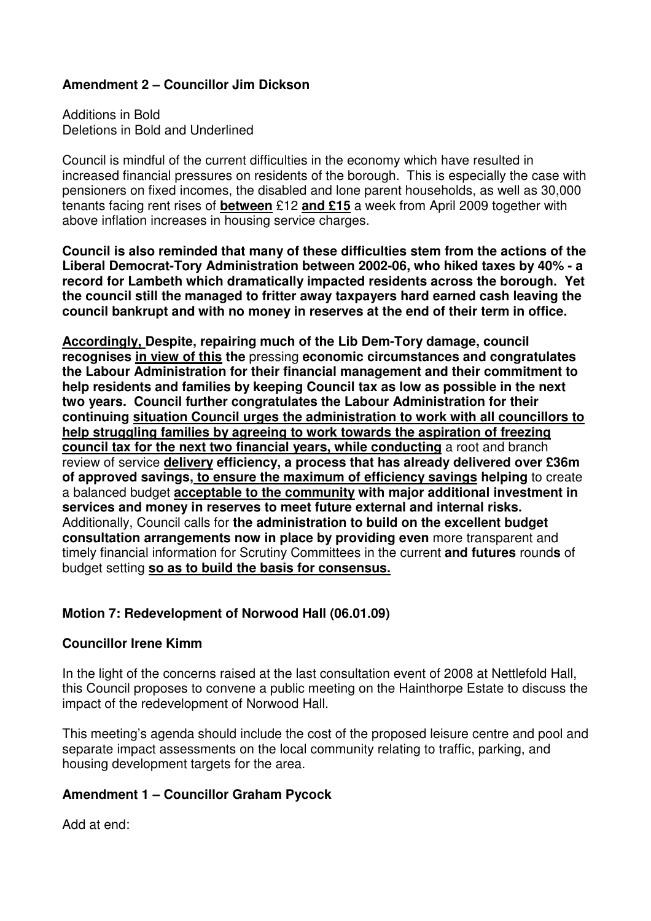# **Amendment 2 – Councillor Jim Dickson**

Additions in Bold Deletions in Bold and Underlined

Council is mindful of the current difficulties in the economy which have resulted in increased financial pressures on residents of the borough. This is especially the case with pensioners on fixed incomes, the disabled and lone parent households, as well as 30,000 tenants facing rent rises of **between** £12 **and £15** a week from April 2009 together with above inflation increases in housing service charges.

**Council is also reminded that many of these difficulties stem from the actions of the Liberal Democrat-Tory Administration between 2002-06, who hiked taxes by 40% - a record for Lambeth which dramatically impacted residents across the borough. Yet the council still the managed to fritter away taxpayers hard earned cash leaving the council bankrupt and with no money in reserves at the end of their term in office.** 

**Accordingly, Despite, repairing much of the Lib Dem-Tory damage, council recognises in view of this the** pressing **economic circumstances and congratulates the Labour Administration for their financial management and their commitment to help residents and families by keeping Council tax as low as possible in the next two years. Council further congratulates the Labour Administration for their continuing situation Council urges the administration to work with all councillors to help struggling families by agreeing to work towards the aspiration of freezing council tax for the next two financial years, while conducting** a root and branch review of service **delivery efficiency, a process that has already delivered over £36m of approved savings, to ensure the maximum of efficiency savings helping** to create a balanced budget **acceptable to the community with major additional investment in services and money in reserves to meet future external and internal risks.** Additionally, Council calls for **the administration to build on the excellent budget consultation arrangements now in place by providing even** more transparent and timely financial information for Scrutiny Committees in the current **and futures** round**s** of budget setting **so as to build the basis for consensus.**

# **Motion 7: Redevelopment of Norwood Hall (06.01.09)**

### **Councillor Irene Kimm**

In the light of the concerns raised at the last consultation event of 2008 at Nettlefold Hall, this Council proposes to convene a public meeting on the Hainthorpe Estate to discuss the impact of the redevelopment of Norwood Hall.

This meeting's agenda should include the cost of the proposed leisure centre and pool and separate impact assessments on the local community relating to traffic, parking, and housing development targets for the area.

### **Amendment 1 – Councillor Graham Pycock**

Add at end: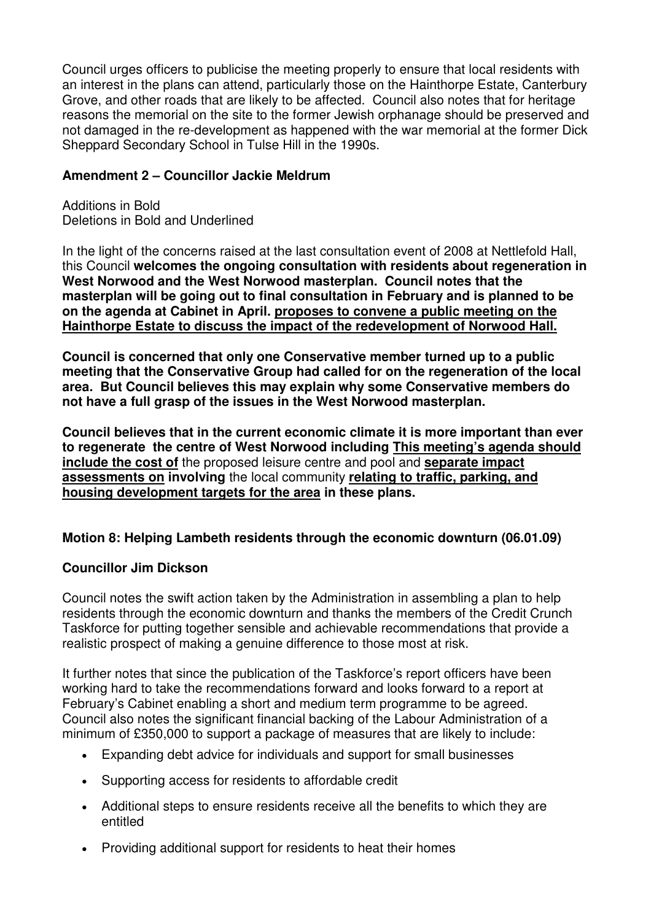Council urges officers to publicise the meeting properly to ensure that local residents with an interest in the plans can attend, particularly those on the Hainthorpe Estate, Canterbury Grove, and other roads that are likely to be affected. Council also notes that for heritage reasons the memorial on the site to the former Jewish orphanage should be preserved and not damaged in the re-development as happened with the war memorial at the former Dick Sheppard Secondary School in Tulse Hill in the 1990s.

### **Amendment 2 – Councillor Jackie Meldrum**

Additions in Bold Deletions in Bold and Underlined

In the light of the concerns raised at the last consultation event of 2008 at Nettlefold Hall, this Council **welcomes the ongoing consultation with residents about regeneration in West Norwood and the West Norwood masterplan. Council notes that the masterplan will be going out to final consultation in February and is planned to be on the agenda at Cabinet in April. proposes to convene a public meeting on the Hainthorpe Estate to discuss the impact of the redevelopment of Norwood Hall.**

**Council is concerned that only one Conservative member turned up to a public meeting that the Conservative Group had called for on the regeneration of the local area. But Council believes this may explain why some Conservative members do not have a full grasp of the issues in the West Norwood masterplan.** 

**Council believes that in the current economic climate it is more important than ever to regenerate the centre of West Norwood including This meeting's agenda should include the cost of** the proposed leisure centre and pool and **separate impact assessments on involving** the local community **relating to traffic, parking, and housing development targets for the area in these plans.** 

# **Motion 8: Helping Lambeth residents through the economic downturn (06.01.09)**

### **Councillor Jim Dickson**

Council notes the swift action taken by the Administration in assembling a plan to help residents through the economic downturn and thanks the members of the Credit Crunch Taskforce for putting together sensible and achievable recommendations that provide a realistic prospect of making a genuine difference to those most at risk.

It further notes that since the publication of the Taskforce's report officers have been working hard to take the recommendations forward and looks forward to a report at February's Cabinet enabling a short and medium term programme to be agreed. Council also notes the significant financial backing of the Labour Administration of a minimum of £350,000 to support a package of measures that are likely to include:

- Expanding debt advice for individuals and support for small businesses
- Supporting access for residents to affordable credit
- Additional steps to ensure residents receive all the benefits to which they are entitled
- Providing additional support for residents to heat their homes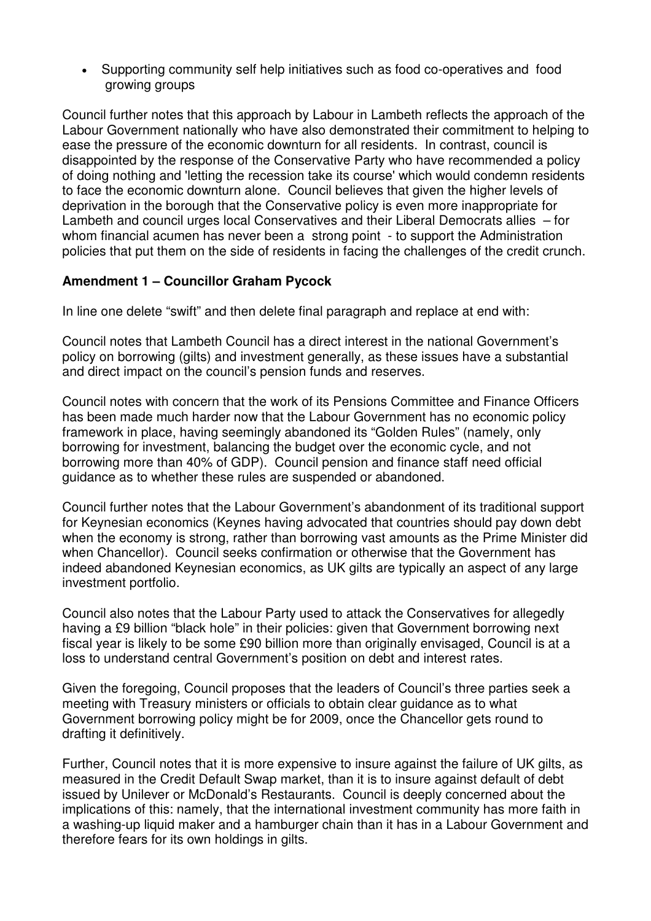• Supporting community self help initiatives such as food co-operatives and food growing groups

Council further notes that this approach by Labour in Lambeth reflects the approach of the Labour Government nationally who have also demonstrated their commitment to helping to ease the pressure of the economic downturn for all residents. In contrast, council is disappointed by the response of the Conservative Party who have recommended a policy of doing nothing and 'letting the recession take its course' which would condemn residents to face the economic downturn alone. Council believes that given the higher levels of deprivation in the borough that the Conservative policy is even more inappropriate for Lambeth and council urges local Conservatives and their Liberal Democrats allies – for whom financial acumen has never been a strong point - to support the Administration policies that put them on the side of residents in facing the challenges of the credit crunch.

# **Amendment 1 – Councillor Graham Pycock**

In line one delete "swift" and then delete final paragraph and replace at end with:

Council notes that Lambeth Council has a direct interest in the national Government's policy on borrowing (gilts) and investment generally, as these issues have a substantial and direct impact on the council's pension funds and reserves.

Council notes with concern that the work of its Pensions Committee and Finance Officers has been made much harder now that the Labour Government has no economic policy framework in place, having seemingly abandoned its "Golden Rules" (namely, only borrowing for investment, balancing the budget over the economic cycle, and not borrowing more than 40% of GDP). Council pension and finance staff need official guidance as to whether these rules are suspended or abandoned.

Council further notes that the Labour Government's abandonment of its traditional support for Keynesian economics (Keynes having advocated that countries should pay down debt when the economy is strong, rather than borrowing vast amounts as the Prime Minister did when Chancellor). Council seeks confirmation or otherwise that the Government has indeed abandoned Keynesian economics, as UK gilts are typically an aspect of any large investment portfolio.

Council also notes that the Labour Party used to attack the Conservatives for allegedly having a £9 billion "black hole" in their policies: given that Government borrowing next fiscal year is likely to be some £90 billion more than originally envisaged, Council is at a loss to understand central Government's position on debt and interest rates.

Given the foregoing, Council proposes that the leaders of Council's three parties seek a meeting with Treasury ministers or officials to obtain clear guidance as to what Government borrowing policy might be for 2009, once the Chancellor gets round to drafting it definitively.

Further, Council notes that it is more expensive to insure against the failure of UK gilts, as measured in the Credit Default Swap market, than it is to insure against default of debt issued by Unilever or McDonald's Restaurants. Council is deeply concerned about the implications of this: namely, that the international investment community has more faith in a washing-up liquid maker and a hamburger chain than it has in a Labour Government and therefore fears for its own holdings in gilts.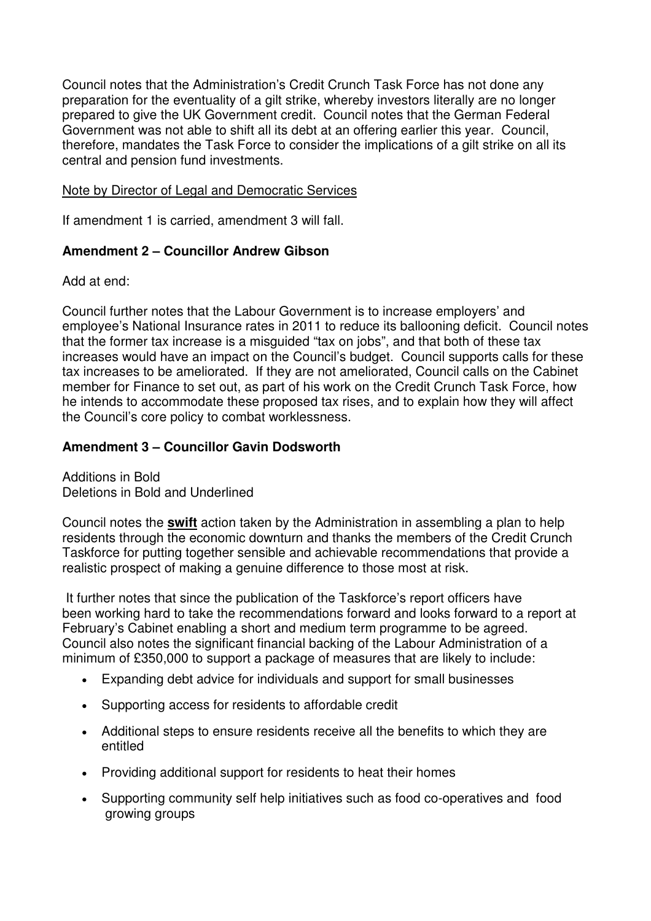Council notes that the Administration's Credit Crunch Task Force has not done any preparation for the eventuality of a gilt strike, whereby investors literally are no longer prepared to give the UK Government credit. Council notes that the German Federal Government was not able to shift all its debt at an offering earlier this year. Council, therefore, mandates the Task Force to consider the implications of a gilt strike on all its central and pension fund investments.

### Note by Director of Legal and Democratic Services

If amendment 1 is carried, amendment 3 will fall.

# **Amendment 2 – Councillor Andrew Gibson**

Add at end:

Council further notes that the Labour Government is to increase employers' and employee's National Insurance rates in 2011 to reduce its ballooning deficit. Council notes that the former tax increase is a misguided "tax on jobs", and that both of these tax increases would have an impact on the Council's budget. Council supports calls for these tax increases to be ameliorated. If they are not ameliorated, Council calls on the Cabinet member for Finance to set out, as part of his work on the Credit Crunch Task Force, how he intends to accommodate these proposed tax rises, and to explain how they will affect the Council's core policy to combat worklessness.

### **Amendment 3 – Councillor Gavin Dodsworth**

Additions in Bold Deletions in Bold and Underlined

Council notes the **swift** action taken by the Administration in assembling a plan to help residents through the economic downturn and thanks the members of the Credit Crunch Taskforce for putting together sensible and achievable recommendations that provide a realistic prospect of making a genuine difference to those most at risk.

 It further notes that since the publication of the Taskforce's report officers have been working hard to take the recommendations forward and looks forward to a report at February's Cabinet enabling a short and medium term programme to be agreed. Council also notes the significant financial backing of the Labour Administration of a minimum of £350,000 to support a package of measures that are likely to include:

- Expanding debt advice for individuals and support for small businesses
- Supporting access for residents to affordable credit
- Additional steps to ensure residents receive all the benefits to which they are entitled
- Providing additional support for residents to heat their homes
- Supporting community self help initiatives such as food co-operatives and food growing groups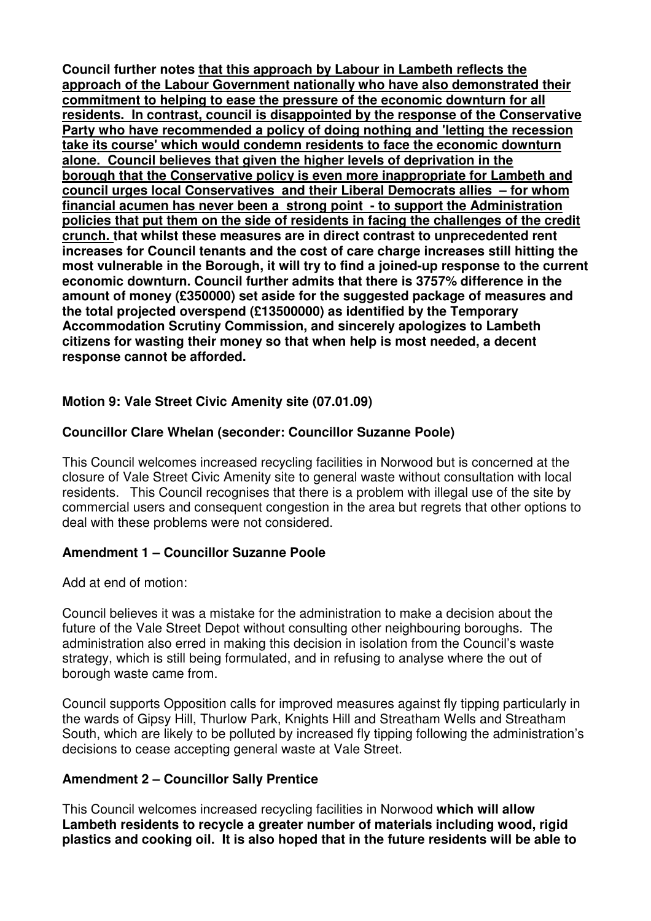**Council further notes that this approach by Labour in Lambeth reflects the approach of the Labour Government nationally who have also demonstrated their commitment to helping to ease the pressure of the economic downturn for all residents. In contrast, council is disappointed by the response of the Conservative Party who have recommended a policy of doing nothing and 'letting the recession take its course' which would condemn residents to face the economic downturn alone. Council believes that given the higher levels of deprivation in the borough that the Conservative policy is even more inappropriate for Lambeth and council urges local Conservatives and their Liberal Democrats allies – for whom financial acumen has never been a strong point - to support the Administration policies that put them on the side of residents in facing the challenges of the credit crunch. that whilst these measures are in direct contrast to unprecedented rent increases for Council tenants and the cost of care charge increases still hitting the most vulnerable in the Borough, it will try to find a joined-up response to the current economic downturn. Council further admits that there is 3757% difference in the amount of money (£350000) set aside for the suggested package of measures and the total projected overspend (£13500000) as identified by the Temporary Accommodation Scrutiny Commission, and sincerely apologizes to Lambeth citizens for wasting their money so that when help is most needed, a decent response cannot be afforded.** 

# **Motion 9: Vale Street Civic Amenity site (07.01.09)**

### **Councillor Clare Whelan (seconder: Councillor Suzanne Poole)**

This Council welcomes increased recycling facilities in Norwood but is concerned at the closure of Vale Street Civic Amenity site to general waste without consultation with local residents. This Council recognises that there is a problem with illegal use of the site by commercial users and consequent congestion in the area but regrets that other options to deal with these problems were not considered.

### **Amendment 1 – Councillor Suzanne Poole**

Add at end of motion:

Council believes it was a mistake for the administration to make a decision about the future of the Vale Street Depot without consulting other neighbouring boroughs. The administration also erred in making this decision in isolation from the Council's waste strategy, which is still being formulated, and in refusing to analyse where the out of borough waste came from.

Council supports Opposition calls for improved measures against fly tipping particularly in the wards of Gipsy Hill, Thurlow Park, Knights Hill and Streatham Wells and Streatham South, which are likely to be polluted by increased fly tipping following the administration's decisions to cease accepting general waste at Vale Street.

### **Amendment 2 – Councillor Sally Prentice**

This Council welcomes increased recycling facilities in Norwood **which will allow Lambeth residents to recycle a greater number of materials including wood, rigid plastics and cooking oil. It is also hoped that in the future residents will be able to**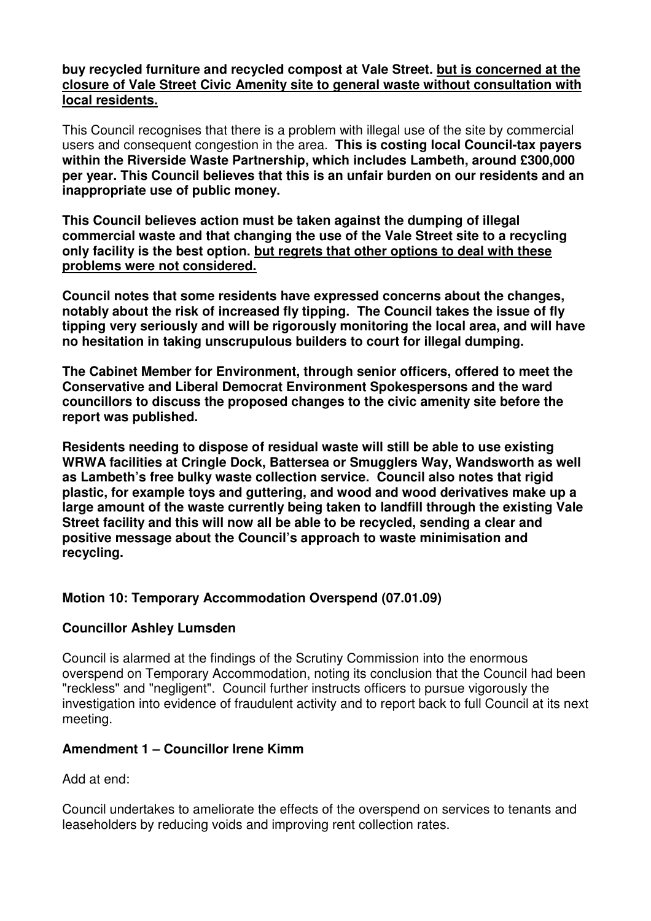### **buy recycled furniture and recycled compost at Vale Street. but is concerned at the closure of Vale Street Civic Amenity site to general waste without consultation with local residents.**

This Council recognises that there is a problem with illegal use of the site by commercial users and consequent congestion in the area. **This is costing local Council-tax payers within the Riverside Waste Partnership, which includes Lambeth, around £300,000 per year. This Council believes that this is an unfair burden on our residents and an inappropriate use of public money.** 

**This Council believes action must be taken against the dumping of illegal commercial waste and that changing the use of the Vale Street site to a recycling only facility is the best option. but regrets that other options to deal with these problems were not considered.**

**Council notes that some residents have expressed concerns about the changes, notably about the risk of increased fly tipping. The Council takes the issue of fly tipping very seriously and will be rigorously monitoring the local area, and will have no hesitation in taking unscrupulous builders to court for illegal dumping.** 

**The Cabinet Member for Environment, through senior officers, offered to meet the Conservative and Liberal Democrat Environment Spokespersons and the ward councillors to discuss the proposed changes to the civic amenity site before the report was published.** 

**Residents needing to dispose of residual waste will still be able to use existing WRWA facilities at Cringle Dock, Battersea or Smugglers Way, Wandsworth as well as Lambeth's free bulky waste collection service. Council also notes that rigid plastic, for example toys and guttering, and wood and wood derivatives make up a large amount of the waste currently being taken to landfill through the existing Vale Street facility and this will now all be able to be recycled, sending a clear and positive message about the Council's approach to waste minimisation and recycling.** 

# **Motion 10: Temporary Accommodation Overspend (07.01.09)**

# **Councillor Ashley Lumsden**

Council is alarmed at the findings of the Scrutiny Commission into the enormous overspend on Temporary Accommodation, noting its conclusion that the Council had been "reckless" and "negligent". Council further instructs officers to pursue vigorously the investigation into evidence of fraudulent activity and to report back to full Council at its next meeting.

# **Amendment 1 – Councillor Irene Kimm**

Add at end:

Council undertakes to ameliorate the effects of the overspend on services to tenants and leaseholders by reducing voids and improving rent collection rates.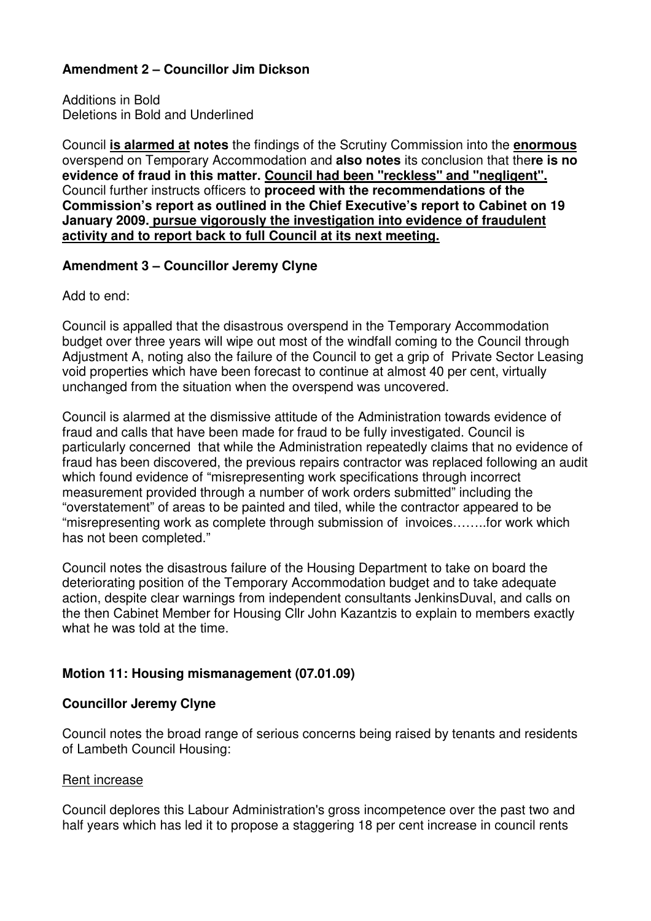# **Amendment 2 – Councillor Jim Dickson**

Additions in Bold Deletions in Bold and Underlined

Council **is alarmed at notes** the findings of the Scrutiny Commission into the **enormous** overspend on Temporary Accommodation and **also notes** its conclusion that the**re is no evidence of fraud in this matter. Council had been "reckless" and "negligent".** Council further instructs officers to **proceed with the recommendations of the Commission's report as outlined in the Chief Executive's report to Cabinet on 19 January 2009. pursue vigorously the investigation into evidence of fraudulent activity and to report back to full Council at its next meeting.**

# **Amendment 3 – Councillor Jeremy Clyne**

Add to end:

Council is appalled that the disastrous overspend in the Temporary Accommodation budget over three years will wipe out most of the windfall coming to the Council through Adjustment A, noting also the failure of the Council to get a grip of Private Sector Leasing void properties which have been forecast to continue at almost 40 per cent, virtually unchanged from the situation when the overspend was uncovered.

Council is alarmed at the dismissive attitude of the Administration towards evidence of fraud and calls that have been made for fraud to be fully investigated. Council is particularly concerned that while the Administration repeatedly claims that no evidence of fraud has been discovered, the previous repairs contractor was replaced following an audit which found evidence of "misrepresenting work specifications through incorrect measurement provided through a number of work orders submitted" including the "overstatement" of areas to be painted and tiled, while the contractor appeared to be "misrepresenting work as complete through submission of invoices……..for work which has not been completed."

Council notes the disastrous failure of the Housing Department to take on board the deteriorating position of the Temporary Accommodation budget and to take adequate action, despite clear warnings from independent consultants JenkinsDuval, and calls on the then Cabinet Member for Housing Cllr John Kazantzis to explain to members exactly what he was told at the time.

# **Motion 11: Housing mismanagement (07.01.09)**

# **Councillor Jeremy Clyne**

Council notes the broad range of serious concerns being raised by tenants and residents of Lambeth Council Housing:

#### Rent increase Ī

Council deplores this Labour Administration's gross incompetence over the past two and half years which has led it to propose a staggering 18 per cent increase in council rents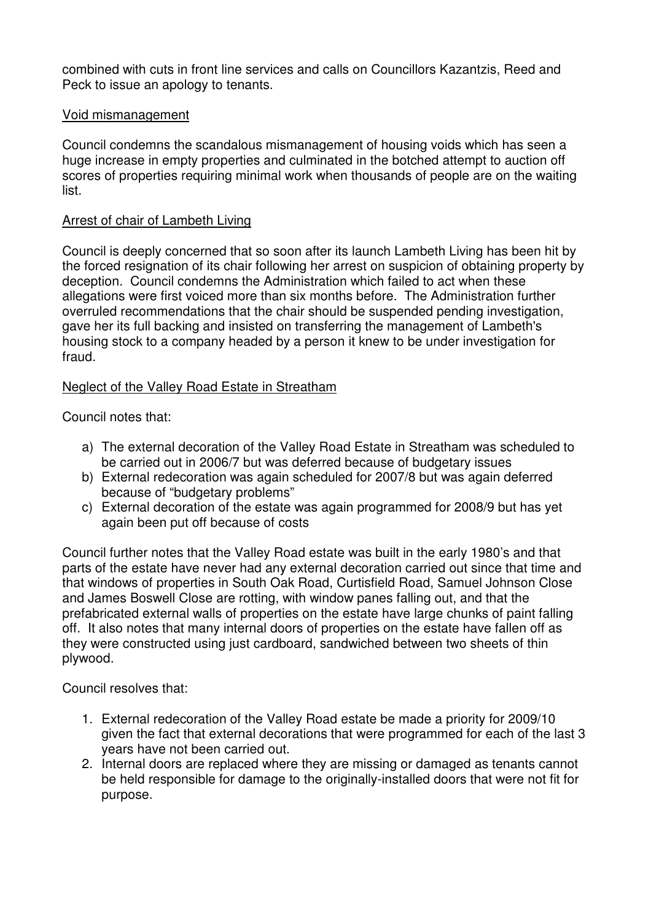combined with cuts in front line services and calls on Councillors Kazantzis, Reed and Peck to issue an apology to tenants.

#### Void mismanagement Ī

Council condemns the scandalous mismanagement of housing voids which has seen a huge increase in empty properties and culminated in the botched attempt to auction off scores of properties requiring minimal work when thousands of people are on the waiting list.

#### Arrest of chair of Lambeth Living Ī

Council is deeply concerned that so soon after its launch Lambeth Living has been hit by the forced resignation of its chair following her arrest on suspicion of obtaining property by deception. Council condemns the Administration which failed to act when these allegations were first voiced more than six months before. The Administration further overruled recommendations that the chair should be suspended pending investigation, gave her its full backing and insisted on transferring the management of Lambeth's housing stock to a company headed by a person it knew to be under investigation for fraud.

### Neglect of the Valley Road Estate in Streatham

Council notes that:

- a) The external decoration of the Valley Road Estate in Streatham was scheduled to be carried out in 2006/7 but was deferred because of budgetary issues
- b) External redecoration was again scheduled for 2007/8 but was again deferred because of "budgetary problems"
- c) External decoration of the estate was again programmed for 2008/9 but has yet again been put off because of costs

Council further notes that the Valley Road estate was built in the early 1980's and that parts of the estate have never had any external decoration carried out since that time and that windows of properties in South Oak Road, Curtisfield Road, Samuel Johnson Close and James Boswell Close are rotting, with window panes falling out, and that the prefabricated external walls of properties on the estate have large chunks of paint falling off. It also notes that many internal doors of properties on the estate have fallen off as they were constructed using just cardboard, sandwiched between two sheets of thin plywood.

Council resolves that:

- 1. External redecoration of the Valley Road estate be made a priority for 2009/10 given the fact that external decorations that were programmed for each of the last 3 years have not been carried out.
- 2. Internal doors are replaced where they are missing or damaged as tenants cannot be held responsible for damage to the originally-installed doors that were not fit for purpose.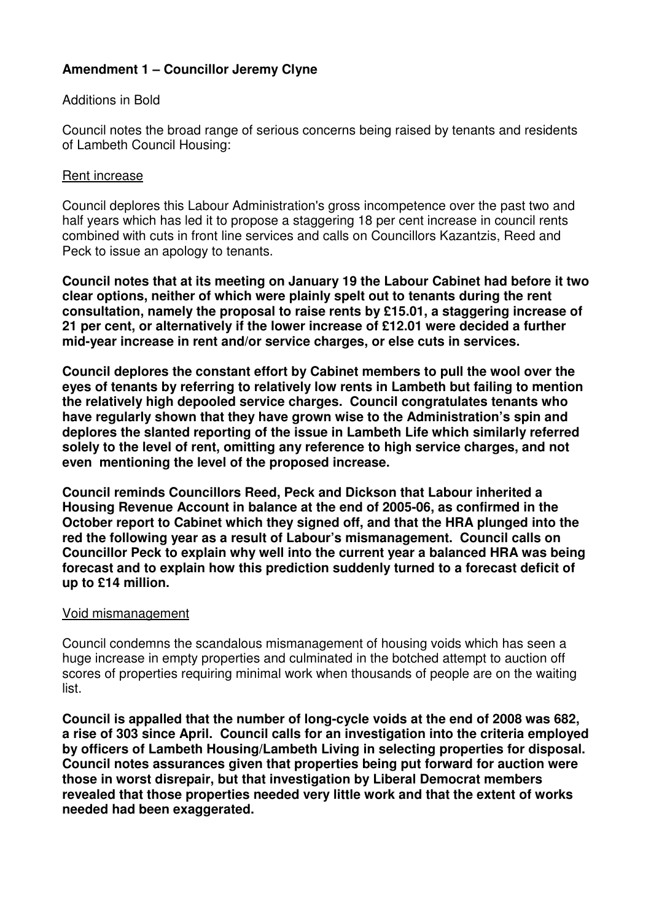# **Amendment 1 – Councillor Jeremy Clyne**

### Additions in Bold

Council notes the broad range of serious concerns being raised by tenants and residents of Lambeth Council Housing:

### Rent increase

Council deplores this Labour Administration's gross incompetence over the past two and half years which has led it to propose a staggering 18 per cent increase in council rents combined with cuts in front line services and calls on Councillors Kazantzis, Reed and Peck to issue an apology to tenants.

**Council notes that at its meeting on January 19 the Labour Cabinet had before it two clear options, neither of which were plainly spelt out to tenants during the rent consultation, namely the proposal to raise rents by £15.01, a staggering increase of 21 per cent, or alternatively if the lower increase of £12.01 were decided a further mid-year increase in rent and/or service charges, or else cuts in services.**

**Council deplores the constant effort by Cabinet members to pull the wool over the eyes of tenants by referring to relatively low rents in Lambeth but failing to mention the relatively high depooled service charges. Council congratulates tenants who have regularly shown that they have grown wise to the Administration's spin and deplores the slanted reporting of the issue in Lambeth Life which similarly referred solely to the level of rent, omitting any reference to high service charges, and not even mentioning the level of the proposed increase.** 

**Council reminds Councillors Reed, Peck and Dickson that Labour inherited a Housing Revenue Account in balance at the end of 2005-06, as confirmed in the October report to Cabinet which they signed off, and that the HRA plunged into the red the following year as a result of Labour's mismanagement. Council calls on Councillor Peck to explain why well into the current year a balanced HRA was being forecast and to explain how this prediction suddenly turned to a forecast deficit of up to £14 million.** 

### Void mismanagement

Council condemns the scandalous mismanagement of housing voids which has seen a huge increase in empty properties and culminated in the botched attempt to auction off scores of properties requiring minimal work when thousands of people are on the waiting list.

**Council is appalled that the number of long-cycle voids at the end of 2008 was 682, a rise of 303 since April. Council calls for an investigation into the criteria employed by officers of Lambeth Housing/Lambeth Living in selecting properties for disposal. Council notes assurances given that properties being put forward for auction were those in worst disrepair, but that investigation by Liberal Democrat members revealed that those properties needed very little work and that the extent of works needed had been exaggerated.**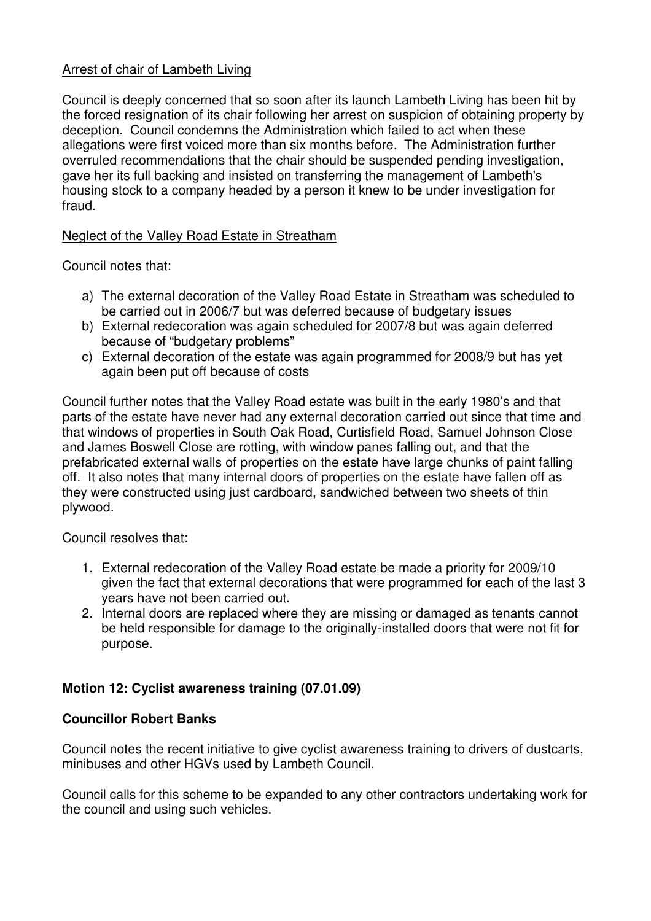### Arrest of chair of Lambeth Living

Council is deeply concerned that so soon after its launch Lambeth Living has been hit by the forced resignation of its chair following her arrest on suspicion of obtaining property by deception. Council condemns the Administration which failed to act when these allegations were first voiced more than six months before. The Administration further overruled recommendations that the chair should be suspended pending investigation, gave her its full backing and insisted on transferring the management of Lambeth's housing stock to a company headed by a person it knew to be under investigation for fraud.

### Neglect of the Valley Road Estate in Streatham

Council notes that:

- a) The external decoration of the Valley Road Estate in Streatham was scheduled to be carried out in 2006/7 but was deferred because of budgetary issues
- b) External redecoration was again scheduled for 2007/8 but was again deferred because of "budgetary problems"
- c) External decoration of the estate was again programmed for 2008/9 but has yet again been put off because of costs

Council further notes that the Valley Road estate was built in the early 1980's and that parts of the estate have never had any external decoration carried out since that time and that windows of properties in South Oak Road, Curtisfield Road, Samuel Johnson Close and James Boswell Close are rotting, with window panes falling out, and that the prefabricated external walls of properties on the estate have large chunks of paint falling off. It also notes that many internal doors of properties on the estate have fallen off as they were constructed using just cardboard, sandwiched between two sheets of thin plywood.

Council resolves that:

- 1. External redecoration of the Valley Road estate be made a priority for 2009/10 given the fact that external decorations that were programmed for each of the last 3 years have not been carried out.
- 2. Internal doors are replaced where they are missing or damaged as tenants cannot be held responsible for damage to the originally-installed doors that were not fit for purpose.

# **Motion 12: Cyclist awareness training (07.01.09)**

### **Councillor Robert Banks**

Council notes the recent initiative to give cyclist awareness training to drivers of dustcarts, minibuses and other HGVs used by Lambeth Council.

Council calls for this scheme to be expanded to any other contractors undertaking work for the council and using such vehicles.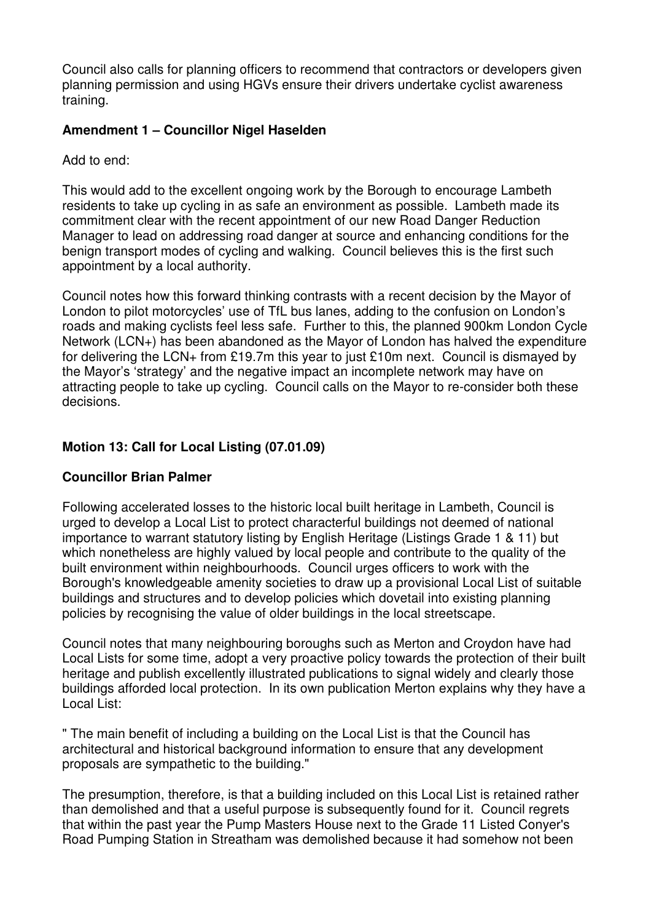Council also calls for planning officers to recommend that contractors or developers given planning permission and using HGVs ensure their drivers undertake cyclist awareness training.

# **Amendment 1 – Councillor Nigel Haselden**

Add to end:

This would add to the excellent ongoing work by the Borough to encourage Lambeth residents to take up cycling in as safe an environment as possible. Lambeth made its commitment clear with the recent appointment of our new Road Danger Reduction Manager to lead on addressing road danger at source and enhancing conditions for the benign transport modes of cycling and walking. Council believes this is the first such appointment by a local authority.

Council notes how this forward thinking contrasts with a recent decision by the Mayor of London to pilot motorcycles' use of TfL bus lanes, adding to the confusion on London's roads and making cyclists feel less safe. Further to this, the planned 900km London Cycle Network (LCN+) has been abandoned as the Mayor of London has halved the expenditure for delivering the LCN+ from £19.7m this year to just £10m next. Council is dismayed by the Mayor's 'strategy' and the negative impact an incomplete network may have on attracting people to take up cycling. Council calls on the Mayor to re-consider both these decisions.

# **Motion 13: Call for Local Listing (07.01.09)**

# **Councillor Brian Palmer**

Following accelerated losses to the historic local built heritage in Lambeth, Council is urged to develop a Local List to protect characterful buildings not deemed of national importance to warrant statutory listing by English Heritage (Listings Grade 1 & 11) but which nonetheless are highly valued by local people and contribute to the quality of the built environment within neighbourhoods. Council urges officers to work with the Borough's knowledgeable amenity societies to draw up a provisional Local List of suitable buildings and structures and to develop policies which dovetail into existing planning policies by recognising the value of older buildings in the local streetscape.

Council notes that many neighbouring boroughs such as Merton and Croydon have had Local Lists for some time, adopt a very proactive policy towards the protection of their built heritage and publish excellently illustrated publications to signal widely and clearly those buildings afforded local protection. In its own publication Merton explains why they have a Local List:

" The main benefit of including a building on the Local List is that the Council has architectural and historical background information to ensure that any development proposals are sympathetic to the building."

The presumption, therefore, is that a building included on this Local List is retained rather than demolished and that a useful purpose is subsequently found for it. Council regrets that within the past year the Pump Masters House next to the Grade 11 Listed Conyer's Road Pumping Station in Streatham was demolished because it had somehow not been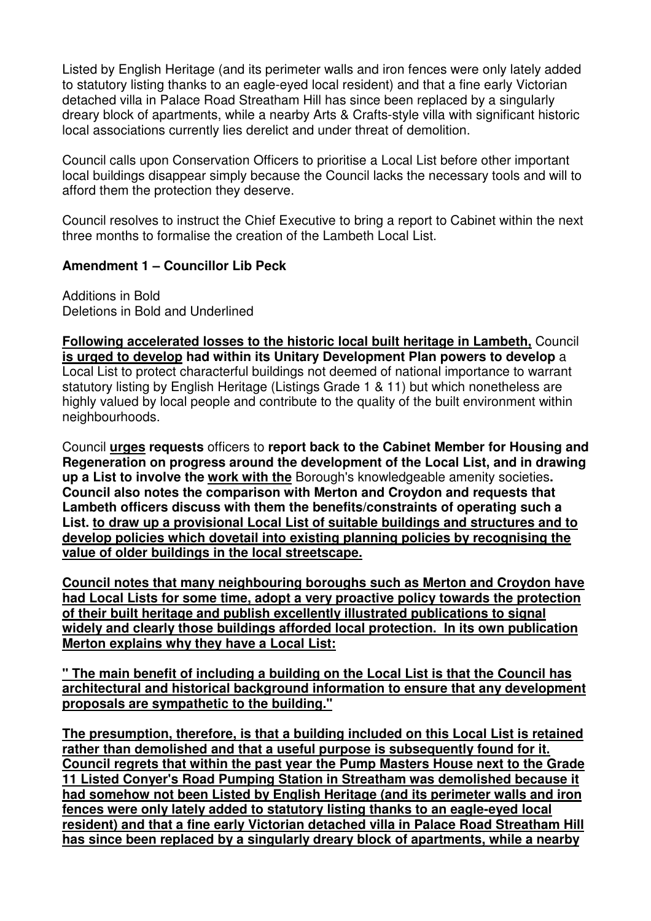Listed by English Heritage (and its perimeter walls and iron fences were only lately added to statutory listing thanks to an eagle-eyed local resident) and that a fine early Victorian detached villa in Palace Road Streatham Hill has since been replaced by a singularly dreary block of apartments, while a nearby Arts & Crafts-style villa with significant historic local associations currently lies derelict and under threat of demolition.

Council calls upon Conservation Officers to prioritise a Local List before other important local buildings disappear simply because the Council lacks the necessary tools and will to afford them the protection they deserve.

Council resolves to instruct the Chief Executive to bring a report to Cabinet within the next three months to formalise the creation of the Lambeth Local List.

### **Amendment 1 – Councillor Lib Peck**

Additions in Bold Deletions in Bold and Underlined

**Following accelerated losses to the historic local built heritage in Lambeth,** Council **is urged to develop had within its Unitary Development Plan powers to develop** a Local List to protect characterful buildings not deemed of national importance to warrant statutory listing by English Heritage (Listings Grade 1 & 11) but which nonetheless are highly valued by local people and contribute to the quality of the built environment within neighbourhoods.

Council **urges requests** officers to **report back to the Cabinet Member for Housing and Regeneration on progress around the development of the Local List, and in drawing up a List to involve the work with the** Borough's knowledgeable amenity societies**. Council also notes the comparison with Merton and Croydon and requests that Lambeth officers discuss with them the benefits/constraints of operating such a List. to draw up a provisional Local List of suitable buildings and structures and to develop policies which dovetail into existing planning policies by recognising the value of older buildings in the local streetscape.**

**Council notes that many neighbouring boroughs such as Merton and Croydon have had Local Lists for some time, adopt a very proactive policy towards the protection of their built heritage and publish excellently illustrated publications to signal widely and clearly those buildings afforded local protection. In its own publication Merton explains why they have a Local List:**

**" The main benefit of including a building on the Local List is that the Council has architectural and historical background information to ensure that any development proposals are sympathetic to the building."**

**The presumption, therefore, is that a building included on this Local List is retained rather than demolished and that a useful purpose is subsequently found for it. Council regrets that within the past year the Pump Masters House next to the Grade 11 Listed Conyer's Road Pumping Station in Streatham was demolished because it had somehow not been Listed by English Heritage (and its perimeter walls and iron fences were only lately added to statutory listing thanks to an eagle-eyed local resident) and that a fine early Victorian detached villa in Palace Road Streatham Hill has since been replaced by a singularly dreary block of apartments, while a nearby**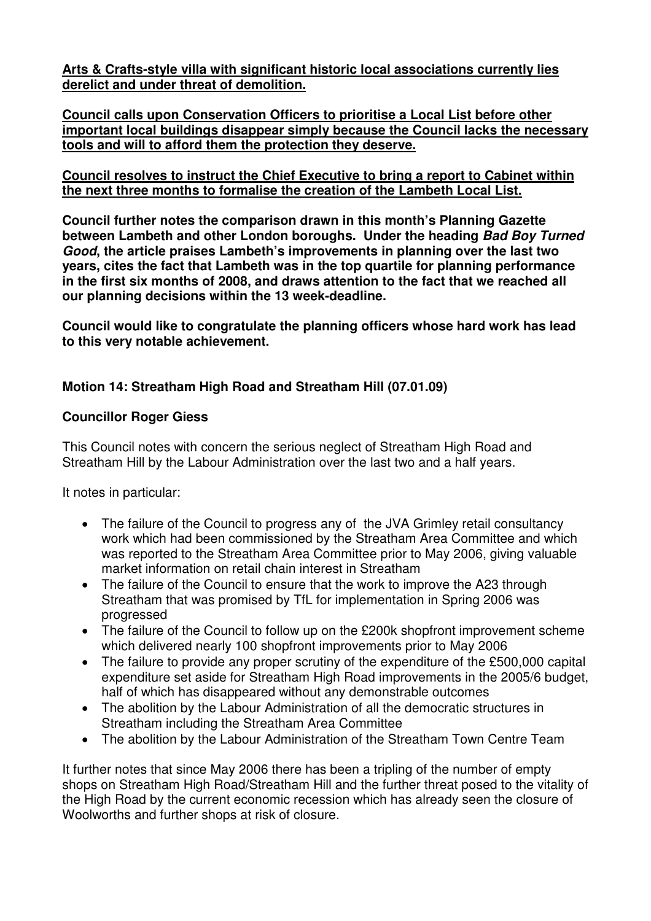**Arts & Crafts-style villa with significant historic local associations currently lies derelict and under threat of demolition.**

**Council calls upon Conservation Officers to prioritise a Local List before other important local buildings disappear simply because the Council lacks the necessary tools and will to afford them the protection they deserve.**

### **Council resolves to instruct the Chief Executive to bring a report to Cabinet within the next three months to formalise the creation of the Lambeth Local List.**

**Council further notes the comparison drawn in this month's Planning Gazette between Lambeth and other London boroughs. Under the heading Bad Boy Turned Good, the article praises Lambeth's improvements in planning over the last two years, cites the fact that Lambeth was in the top quartile for planning performance in the first six months of 2008, and draws attention to the fact that we reached all our planning decisions within the 13 week-deadline.** 

**Council would like to congratulate the planning officers whose hard work has lead to this very notable achievement.** 

# **Motion 14: Streatham High Road and Streatham Hill (07.01.09)**

# **Councillor Roger Giess**

This Council notes with concern the serious neglect of Streatham High Road and Streatham Hill by the Labour Administration over the last two and a half years.

It notes in particular:

- The failure of the Council to progress any of the JVA Grimley retail consultancy work which had been commissioned by the Streatham Area Committee and which was reported to the Streatham Area Committee prior to May 2006, giving valuable market information on retail chain interest in Streatham
- The failure of the Council to ensure that the work to improve the A23 through Streatham that was promised by TfL for implementation in Spring 2006 was progressed
- The failure of the Council to follow up on the £200k shopfront improvement scheme which delivered nearly 100 shopfront improvements prior to May 2006
- The failure to provide any proper scrutiny of the expenditure of the £500,000 capital expenditure set aside for Streatham High Road improvements in the 2005/6 budget, half of which has disappeared without any demonstrable outcomes
- The abolition by the Labour Administration of all the democratic structures in Streatham including the Streatham Area Committee
- The abolition by the Labour Administration of the Streatham Town Centre Team

It further notes that since May 2006 there has been a tripling of the number of empty shops on Streatham High Road/Streatham Hill and the further threat posed to the vitality of the High Road by the current economic recession which has already seen the closure of Woolworths and further shops at risk of closure.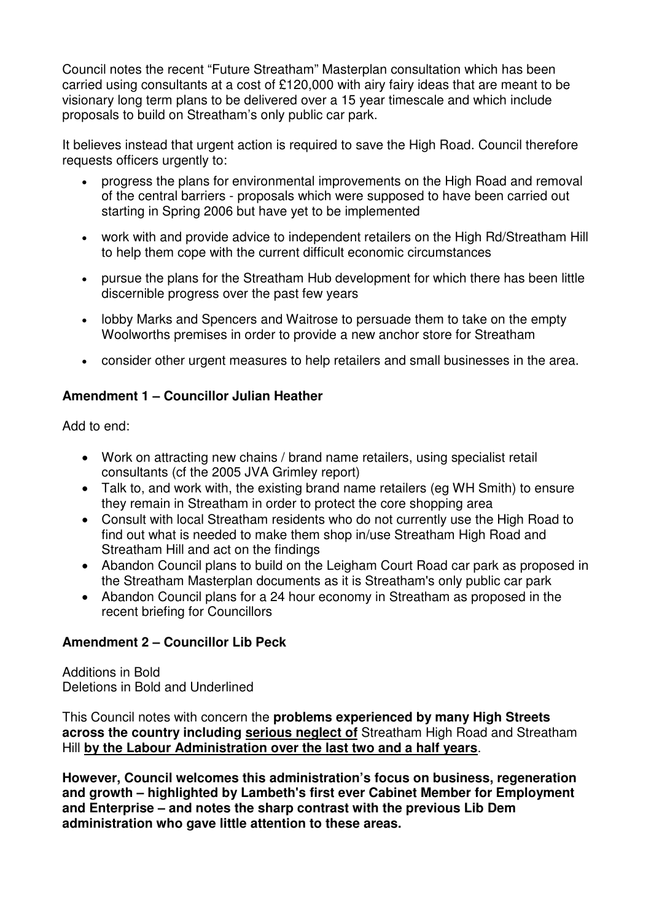Council notes the recent "Future Streatham" Masterplan consultation which has been carried using consultants at a cost of £120,000 with airy fairy ideas that are meant to be visionary long term plans to be delivered over a 15 year timescale and which include proposals to build on Streatham's only public car park.

It believes instead that urgent action is required to save the High Road. Council therefore requests officers urgently to:

- progress the plans for environmental improvements on the High Road and removal of the central barriers - proposals which were supposed to have been carried out starting in Spring 2006 but have yet to be implemented
- work with and provide advice to independent retailers on the High Rd/Streatham Hill to help them cope with the current difficult economic circumstances
- pursue the plans for the Streatham Hub development for which there has been little discernible progress over the past few years
- lobby Marks and Spencers and Waitrose to persuade them to take on the empty Woolworths premises in order to provide a new anchor store for Streatham
- consider other urgent measures to help retailers and small businesses in the area.

# **Amendment 1 – Councillor Julian Heather**

Add to end:

- Work on attracting new chains / brand name retailers, using specialist retail consultants (cf the 2005 JVA Grimley report)
- Talk to, and work with, the existing brand name retailers (eg WH Smith) to ensure they remain in Streatham in order to protect the core shopping area
- Consult with local Streatham residents who do not currently use the High Road to find out what is needed to make them shop in/use Streatham High Road and Streatham Hill and act on the findings
- Abandon Council plans to build on the Leigham Court Road car park as proposed in the Streatham Masterplan documents as it is Streatham's only public car park
- Abandon Council plans for a 24 hour economy in Streatham as proposed in the recent briefing for Councillors

# **Amendment 2 – Councillor Lib Peck**

Additions in Bold Deletions in Bold and Underlined

This Council notes with concern the **problems experienced by many High Streets across the country including serious neglect of** Streatham High Road and Streatham Hill **by the Labour Administration over the last two and a half years**.

**However, Council welcomes this administration's focus on business, regeneration and growth – highlighted by Lambeth's first ever Cabinet Member for Employment and Enterprise – and notes the sharp contrast with the previous Lib Dem administration who gave little attention to these areas.**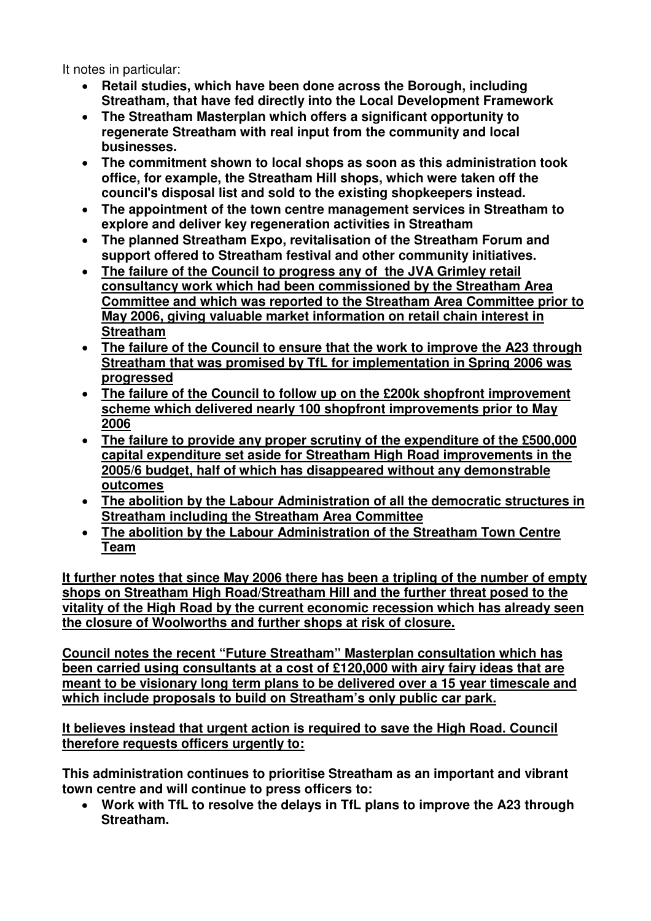It notes in particular:

- **Retail studies, which have been done across the Borough, including Streatham, that have fed directly into the Local Development Framework**
- **The Streatham Masterplan which offers a significant opportunity to regenerate Streatham with real input from the community and local businesses.**
- **The commitment shown to local shops as soon as this administration took office, for example, the Streatham Hill shops, which were taken off the council's disposal list and sold to the existing shopkeepers instead.**
- **The appointment of the town centre management services in Streatham to explore and deliver key regeneration activities in Streatham**
- **The planned Streatham Expo, revitalisation of the Streatham Forum and support offered to Streatham festival and other community initiatives.**
- **The failure of the Council to progress any of the JVA Grimley retail consultancy work which had been commissioned by the Streatham Area Committee and which was reported to the Streatham Area Committee prior to May 2006, giving valuable market information on retail chain interest in Streatham**
- **The failure of the Council to ensure that the work to improve the A23 through Streatham that was promised by TfL for implementation in Spring 2006 was progressed**
- **The failure of the Council to follow up on the £200k shopfront improvement scheme which delivered nearly 100 shopfront improvements prior to May 2006**
- **The failure to provide any proper scrutiny of the expenditure of the £500,000 capital expenditure set aside for Streatham High Road improvements in the 2005/6 budget, half of which has disappeared without any demonstrable outcomes**
- **The abolition by the Labour Administration of all the democratic structures in Streatham including the Streatham Area Committee**
- **The abolition by the Labour Administration of the Streatham Town Centre Team**

**It further notes that since May 2006 there has been a tripling of the number of empty shops on Streatham High Road/Streatham Hill and the further threat posed to the vitality of the High Road by the current economic recession which has already seen the closure of Woolworths and further shops at risk of closure.**

**Council notes the recent "Future Streatham" Masterplan consultation which has been carried using consultants at a cost of £120,000 with airy fairy ideas that are meant to be visionary long term plans to be delivered over a 15 year timescale and which include proposals to build on Streatham's only public car park.**

**It believes instead that urgent action is required to save the High Road. Council therefore requests officers urgently to:**

**This administration continues to prioritise Streatham as an important and vibrant town centre and will continue to press officers to:**

• **Work with TfL to resolve the delays in TfL plans to improve the A23 through Streatham.**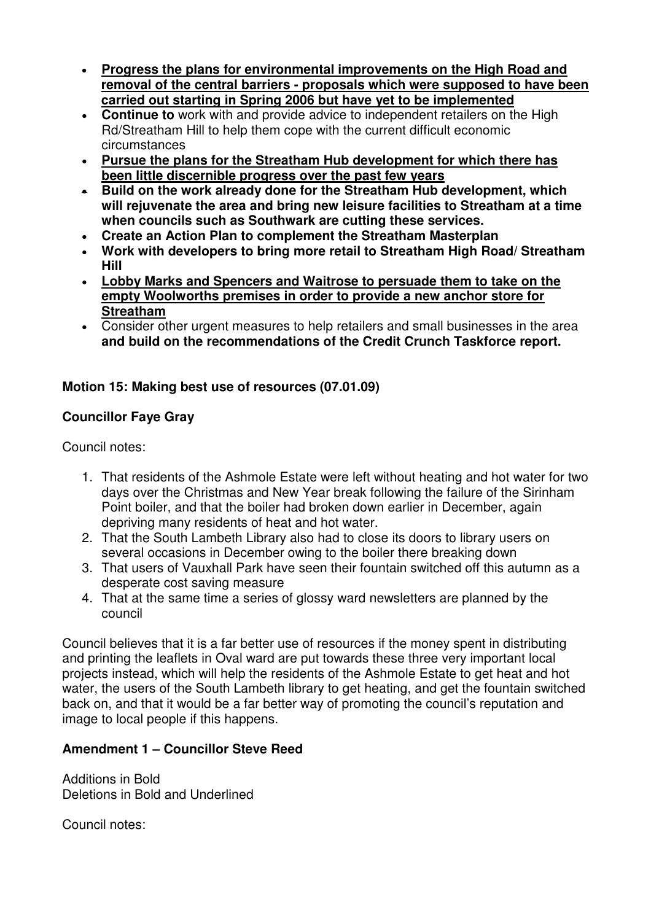- **Progress the plans for environmental improvements on the High Road and removal of the central barriers - proposals which were supposed to have been carried out starting in Spring 2006 but have yet to be implemented**
- **Continue to** work with and provide advice to independent retailers on the High Rd/Streatham Hill to help them cope with the current difficult economic circumstances
- **Pursue the plans for the Streatham Hub development for which there has been little discernible progress over the past few years**
- **Build on the work already done for the Streatham Hub development, which will rejuvenate the area and bring new leisure facilities to Streatham at a time when councils such as Southwark are cutting these services.**
- **Create an Action Plan to complement the Streatham Masterplan**
- **Work with developers to bring more retail to Streatham High Road/ Streatham Hill**
- **Lobby Marks and Spencers and Waitrose to persuade them to take on the empty Woolworths premises in order to provide a new anchor store for Streatham**
- Consider other urgent measures to help retailers and small businesses in the area **and build on the recommendations of the Credit Crunch Taskforce report.**

# **Motion 15: Making best use of resources (07.01.09)**

# **Councillor Faye Gray**

Council notes:

- 1. That residents of the Ashmole Estate were left without heating and hot water for two days over the Christmas and New Year break following the failure of the Sirinham Point boiler, and that the boiler had broken down earlier in December, again depriving many residents of heat and hot water.
- 2. That the South Lambeth Library also had to close its doors to library users on several occasions in December owing to the boiler there breaking down
- 3. That users of Vauxhall Park have seen their fountain switched off this autumn as a desperate cost saving measure
- 4. That at the same time a series of glossy ward newsletters are planned by the council

Council believes that it is a far better use of resources if the money spent in distributing and printing the leaflets in Oval ward are put towards these three very important local projects instead, which will help the residents of the Ashmole Estate to get heat and hot water, the users of the South Lambeth library to get heating, and get the fountain switched back on, and that it would be a far better way of promoting the council's reputation and image to local people if this happens.

# **Amendment 1 – Councillor Steve Reed**

Additions in Bold Deletions in Bold and Underlined

Council notes: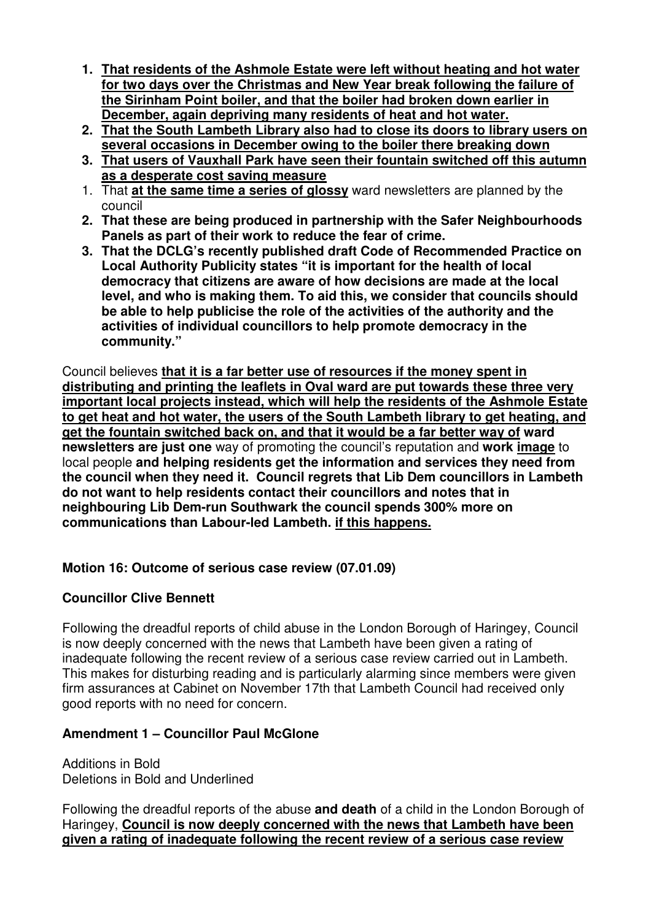- **1. That residents of the Ashmole Estate were left without heating and hot water for two days over the Christmas and New Year break following the failure of the Sirinham Point boiler, and that the boiler had broken down earlier in December, again depriving many residents of heat and hot water.**
- **2. That the South Lambeth Library also had to close its doors to library users on several occasions in December owing to the boiler there breaking down**
- **3. That users of Vauxhall Park have seen their fountain switched off this autumn as a desperate cost saving measure**
- 1. That **at the same time a series of glossy** ward newsletters are planned by the council
- **2. That these are being produced in partnership with the Safer Neighbourhoods Panels as part of their work to reduce the fear of crime.**
- **3. That the DCLG's recently published draft Code of Recommended Practice on Local Authority Publicity states "it is important for the health of local democracy that citizens are aware of how decisions are made at the local level, and who is making them. To aid this, we consider that councils should be able to help publicise the role of the activities of the authority and the activities of individual councillors to help promote democracy in the community."**

Council believes **that it is a far better use of resources if the money spent in distributing and printing the leaflets in Oval ward are put towards these three very important local projects instead, which will help the residents of the Ashmole Estate to get heat and hot water, the users of the South Lambeth library to get heating, and get the fountain switched back on, and that it would be a far better way of ward newsletters are just one** way of promoting the council's reputation and **work image** to local people **and helping residents get the information and services they need from the council when they need it. Council regrets that Lib Dem councillors in Lambeth do not want to help residents contact their councillors and notes that in neighbouring Lib Dem-run Southwark the council spends 300% more on communications than Labour-led Lambeth. if this happens.**

# **Motion 16: Outcome of serious case review (07.01.09)**

# **Councillor Clive Bennett**

Following the dreadful reports of child abuse in the London Borough of Haringey, Council is now deeply concerned with the news that Lambeth have been given a rating of inadequate following the recent review of a serious case review carried out in Lambeth. This makes for disturbing reading and is particularly alarming since members were given firm assurances at Cabinet on November 17th that Lambeth Council had received only good reports with no need for concern.

# **Amendment 1 – Councillor Paul McGlone**

Additions in Bold Deletions in Bold and Underlined

Following the dreadful reports of the abuse **and death** of a child in the London Borough of Haringey, **Council is now deeply concerned with the news that Lambeth have been given a rating of inadequate following the recent review of a serious case review**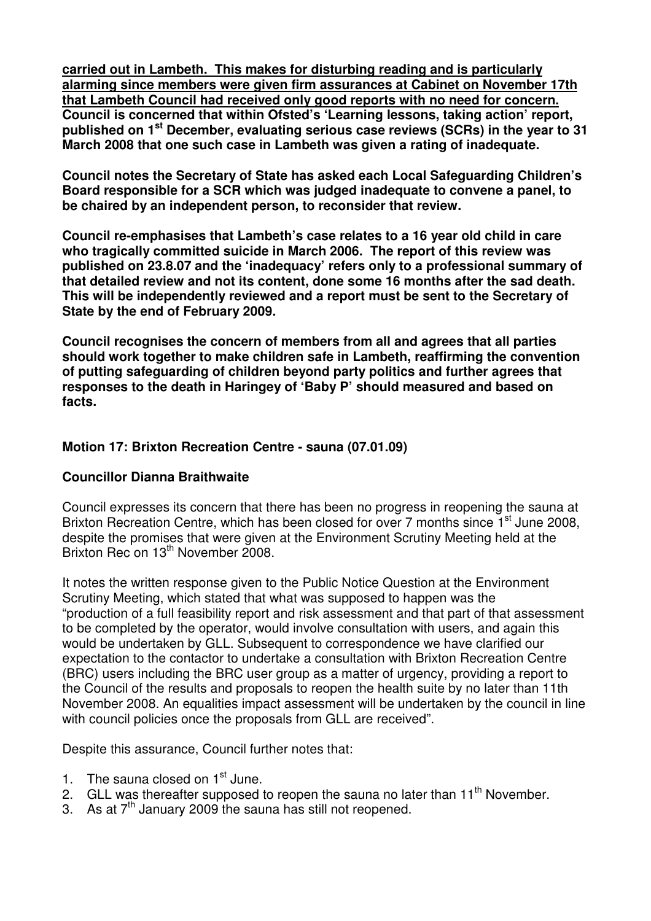**carried out in Lambeth. This makes for disturbing reading and is particularly alarming since members were given firm assurances at Cabinet on November 17th that Lambeth Council had received only good reports with no need for concern. Council is concerned that within Ofsted's 'Learning lessons, taking action' report, published on 1st December, evaluating serious case reviews (SCRs) in the year to 31 March 2008 that one such case in Lambeth was given a rating of inadequate.** 

**Council notes the Secretary of State has asked each Local Safeguarding Children's Board responsible for a SCR which was judged inadequate to convene a panel, to be chaired by an independent person, to reconsider that review.** 

**Council re-emphasises that Lambeth's case relates to a 16 year old child in care who tragically committed suicide in March 2006. The report of this review was published on 23.8.07 and the 'inadequacy' refers only to a professional summary of that detailed review and not its content, done some 16 months after the sad death. This will be independently reviewed and a report must be sent to the Secretary of State by the end of February 2009.** 

**Council recognises the concern of members from all and agrees that all parties should work together to make children safe in Lambeth, reaffirming the convention of putting safeguarding of children beyond party politics and further agrees that responses to the death in Haringey of 'Baby P' should measured and based on facts.** 

# **Motion 17: Brixton Recreation Centre - sauna (07.01.09)**

### **Councillor Dianna Braithwaite**

Council expresses its concern that there has been no progress in reopening the sauna at Brixton Recreation Centre, which has been closed for over 7 months since 1<sup>st</sup> June 2008, despite the promises that were given at the Environment Scrutiny Meeting held at the Brixton Rec on 13<sup>th</sup> November 2008.

It notes the written response given to the Public Notice Question at the Environment Scrutiny Meeting, which stated that what was supposed to happen was the "production of a full feasibility report and risk assessment and that part of that assessment to be completed by the operator, would involve consultation with users, and again this would be undertaken by GLL. Subsequent to correspondence we have clarified our expectation to the contactor to undertake a consultation with Brixton Recreation Centre (BRC) users including the BRC user group as a matter of urgency, providing a report to the Council of the results and proposals to reopen the health suite by no later than 11th November 2008. An equalities impact assessment will be undertaken by the council in line with council policies once the proposals from GLL are received".

Despite this assurance, Council further notes that:

- 1. The sauna closed on  $1<sup>st</sup>$  June.
- 2. GLL was thereafter supposed to reopen the sauna no later than  $11<sup>th</sup>$  November.
- 3. As at  $7<sup>th</sup>$  January 2009 the sauna has still not reopened.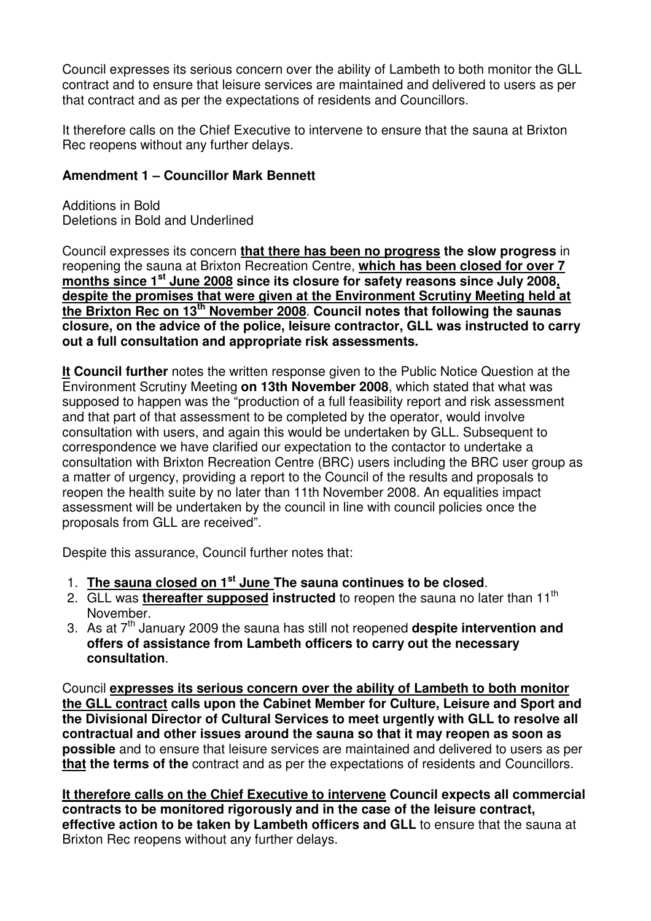Council expresses its serious concern over the ability of Lambeth to both monitor the GLL contract and to ensure that leisure services are maintained and delivered to users as per that contract and as per the expectations of residents and Councillors.

It therefore calls on the Chief Executive to intervene to ensure that the sauna at Brixton Rec reopens without any further delays.

# **Amendment 1 – Councillor Mark Bennett**

Additions in Bold Deletions in Bold and Underlined

Council expresses its concern **that there has been no progress the slow progress** in reopening the sauna at Brixton Recreation Centre, **which has been closed for over 7 months since 1st June 2008 since its closure for safety reasons since July 2008, despite the promises that were given at the Environment Scrutiny Meeting held at the Brixton Rec on 13th November 2008**. **Council notes that following the saunas closure, on the advice of the police, leisure contractor, GLL was instructed to carry out a full consultation and appropriate risk assessments.**

**It Council further** notes the written response given to the Public Notice Question at the Environment Scrutiny Meeting **on 13th November 2008**, which stated that what was supposed to happen was the "production of a full feasibility report and risk assessment and that part of that assessment to be completed by the operator, would involve consultation with users, and again this would be undertaken by GLL. Subsequent to correspondence we have clarified our expectation to the contactor to undertake a consultation with Brixton Recreation Centre (BRC) users including the BRC user group as a matter of urgency, providing a report to the Council of the results and proposals to reopen the health suite by no later than 11th November 2008. An equalities impact assessment will be undertaken by the council in line with council policies once the proposals from GLL are received".

Despite this assurance, Council further notes that:

- 1. **The sauna closed on 1st June The sauna continues to be closed**.
- 2. GLL was **thereafter supposed instructed** to reopen the sauna no later than 11th November.
- 3. As at 7th January 2009 the sauna has still not reopened **despite intervention and offers of assistance from Lambeth officers to carry out the necessary consultation**.

Council **expresses its serious concern over the ability of Lambeth to both monitor the GLL contract calls upon the Cabinet Member for Culture, Leisure and Sport and the Divisional Director of Cultural Services to meet urgently with GLL to resolve all contractual and other issues around the sauna so that it may reopen as soon as possible** and to ensure that leisure services are maintained and delivered to users as per **that the terms of the** contract and as per the expectations of residents and Councillors.

**It therefore calls on the Chief Executive to intervene Council expects all commercial contracts to be monitored rigorously and in the case of the leisure contract, effective action to be taken by Lambeth officers and GLL** to ensure that the sauna at Brixton Rec reopens without any further delays.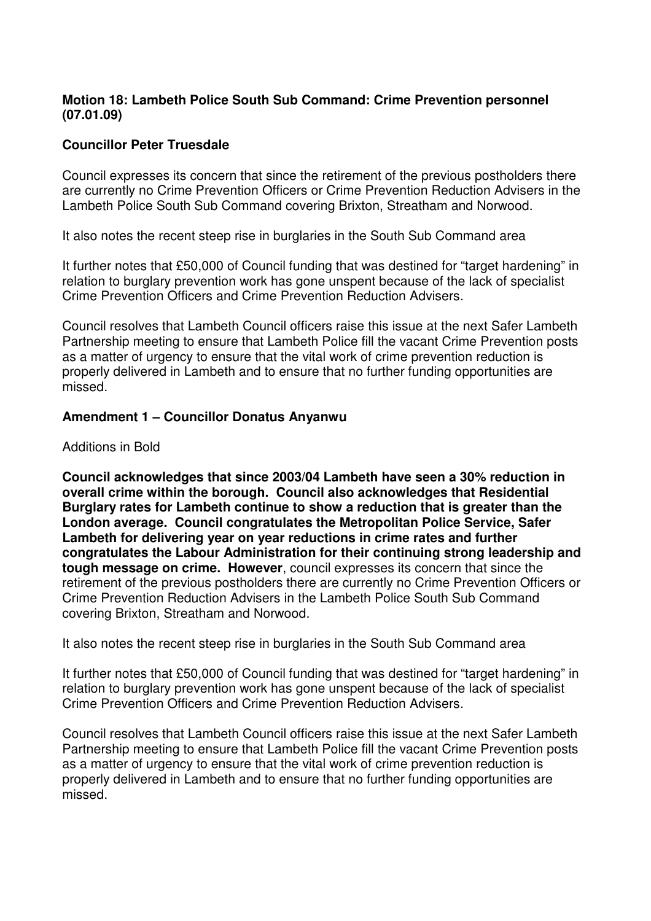### **Motion 18: Lambeth Police South Sub Command: Crime Prevention personnel (07.01.09)**

### **Councillor Peter Truesdale**

Council expresses its concern that since the retirement of the previous postholders there are currently no Crime Prevention Officers or Crime Prevention Reduction Advisers in the Lambeth Police South Sub Command covering Brixton, Streatham and Norwood.

It also notes the recent steep rise in burglaries in the South Sub Command area

It further notes that £50,000 of Council funding that was destined for "target hardening" in relation to burglary prevention work has gone unspent because of the lack of specialist Crime Prevention Officers and Crime Prevention Reduction Advisers.

Council resolves that Lambeth Council officers raise this issue at the next Safer Lambeth Partnership meeting to ensure that Lambeth Police fill the vacant Crime Prevention posts as a matter of urgency to ensure that the vital work of crime prevention reduction is properly delivered in Lambeth and to ensure that no further funding opportunities are missed.

### **Amendment 1 – Councillor Donatus Anyanwu**

Additions in Bold

**Council acknowledges that since 2003/04 Lambeth have seen a 30% reduction in overall crime within the borough. Council also acknowledges that Residential Burglary rates for Lambeth continue to show a reduction that is greater than the London average. Council congratulates the Metropolitan Police Service, Safer Lambeth for delivering year on year reductions in crime rates and further congratulates the Labour Administration for their continuing strong leadership and tough message on crime. However**, council expresses its concern that since the retirement of the previous postholders there are currently no Crime Prevention Officers or Crime Prevention Reduction Advisers in the Lambeth Police South Sub Command covering Brixton, Streatham and Norwood.

It also notes the recent steep rise in burglaries in the South Sub Command area

It further notes that £50,000 of Council funding that was destined for "target hardening" in relation to burglary prevention work has gone unspent because of the lack of specialist Crime Prevention Officers and Crime Prevention Reduction Advisers.

Council resolves that Lambeth Council officers raise this issue at the next Safer Lambeth Partnership meeting to ensure that Lambeth Police fill the vacant Crime Prevention posts as a matter of urgency to ensure that the vital work of crime prevention reduction is properly delivered in Lambeth and to ensure that no further funding opportunities are missed.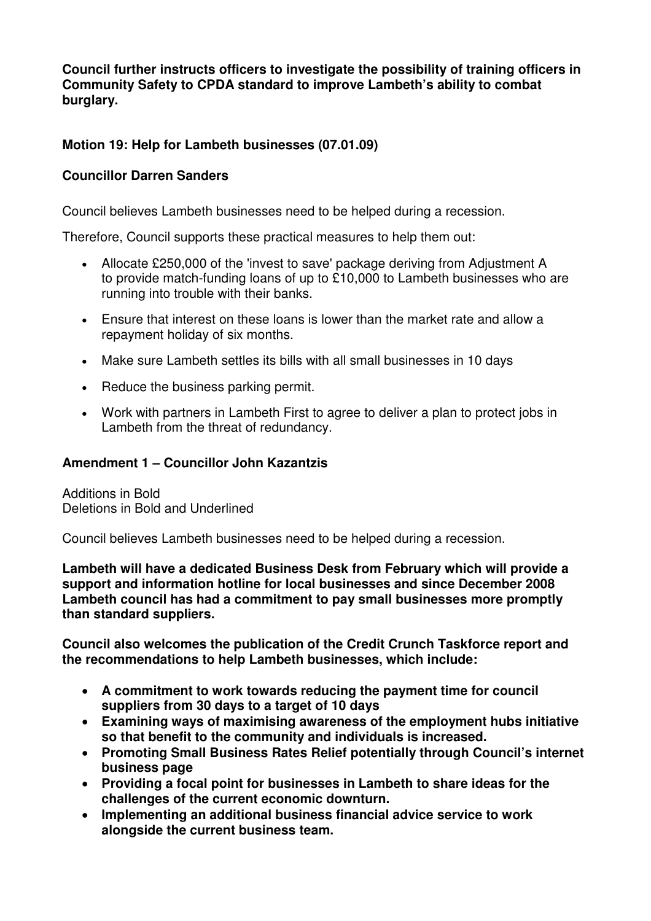**Council further instructs officers to investigate the possibility of training officers in Community Safety to CPDA standard to improve Lambeth's ability to combat burglary.** 

# **Motion 19: Help for Lambeth businesses (07.01.09)**

### **Councillor Darren Sanders**

Council believes Lambeth businesses need to be helped during a recession.

Therefore, Council supports these practical measures to help them out:

- Allocate £250,000 of the 'invest to save' package deriving from Adjustment A to provide match-funding loans of up to £10,000 to Lambeth businesses who are running into trouble with their banks.
- Ensure that interest on these loans is lower than the market rate and allow a repayment holiday of six months.
- Make sure Lambeth settles its bills with all small businesses in 10 days
- Reduce the business parking permit.
- Work with partners in Lambeth First to agree to deliver a plan to protect jobs in Lambeth from the threat of redundancy.

### **Amendment 1 – Councillor John Kazantzis**

Additions in Bold Deletions in Bold and Underlined

Council believes Lambeth businesses need to be helped during a recession.

**Lambeth will have a dedicated Business Desk from February which will provide a support and information hotline for local businesses and since December 2008 Lambeth council has had a commitment to pay small businesses more promptly than standard suppliers.** 

**Council also welcomes the publication of the Credit Crunch Taskforce report and the recommendations to help Lambeth businesses, which include:** 

- **A commitment to work towards reducing the payment time for council suppliers from 30 days to a target of 10 days**
- **Examining ways of maximising awareness of the employment hubs initiative so that benefit to the community and individuals is increased.**
- **Promoting Small Business Rates Relief potentially through Council's internet business page**
- **Providing a focal point for businesses in Lambeth to share ideas for the challenges of the current economic downturn.**
- **Implementing an additional business financial advice service to work alongside the current business team.**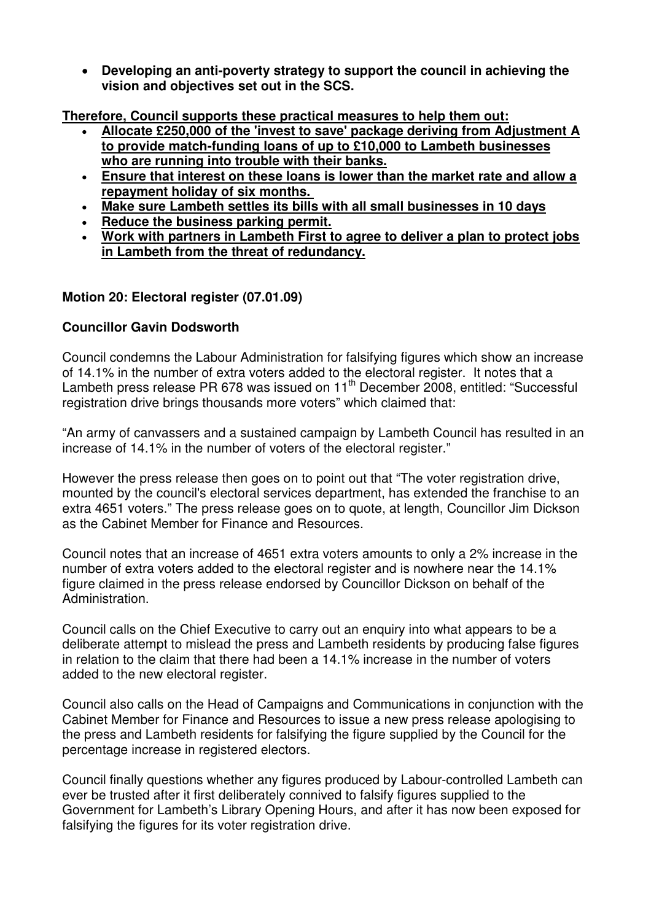• **Developing an anti-poverty strategy to support the council in achieving the vision and objectives set out in the SCS.**

**Therefore, Council supports these practical measures to help them out:**

- **Allocate £250,000 of the 'invest to save' package deriving from Adjustment A to provide match-funding loans of up to £10,000 to Lambeth businesses who are running into trouble with their banks.**
- **Ensure that interest on these loans is lower than the market rate and allow a repayment holiday of six months.**
- **Make sure Lambeth settles its bills with all small businesses in 10 days**
- **Reduce the business parking permit.**
- **Work with partners in Lambeth First to agree to deliver a plan to protect jobs in Lambeth from the threat of redundancy.**

# **Motion 20: Electoral register (07.01.09)**

# **Councillor Gavin Dodsworth**

Council condemns the Labour Administration for falsifying figures which show an increase of 14.1% in the number of extra voters added to the electoral register. It notes that a Lambeth press release PR 678 was issued on  $11<sup>th</sup>$  December 2008, entitled: "Successful registration drive brings thousands more voters" which claimed that:

"An army of canvassers and a sustained campaign by Lambeth Council has resulted in an increase of 14.1% in the number of voters of the electoral register."

However the press release then goes on to point out that "The voter registration drive, mounted by the council's electoral services department, has extended the franchise to an extra 4651 voters." The press release goes on to quote, at length, Councillor Jim Dickson as the Cabinet Member for Finance and Resources.

Council notes that an increase of 4651 extra voters amounts to only a 2% increase in the number of extra voters added to the electoral register and is nowhere near the 14.1% figure claimed in the press release endorsed by Councillor Dickson on behalf of the Administration.

Council calls on the Chief Executive to carry out an enquiry into what appears to be a deliberate attempt to mislead the press and Lambeth residents by producing false figures in relation to the claim that there had been a 14.1% increase in the number of voters added to the new electoral register.

Council also calls on the Head of Campaigns and Communications in conjunction with the Cabinet Member for Finance and Resources to issue a new press release apologising to the press and Lambeth residents for falsifying the figure supplied by the Council for the percentage increase in registered electors.

Council finally questions whether any figures produced by Labour-controlled Lambeth can ever be trusted after it first deliberately connived to falsify figures supplied to the Government for Lambeth's Library Opening Hours, and after it has now been exposed for falsifying the figures for its voter registration drive.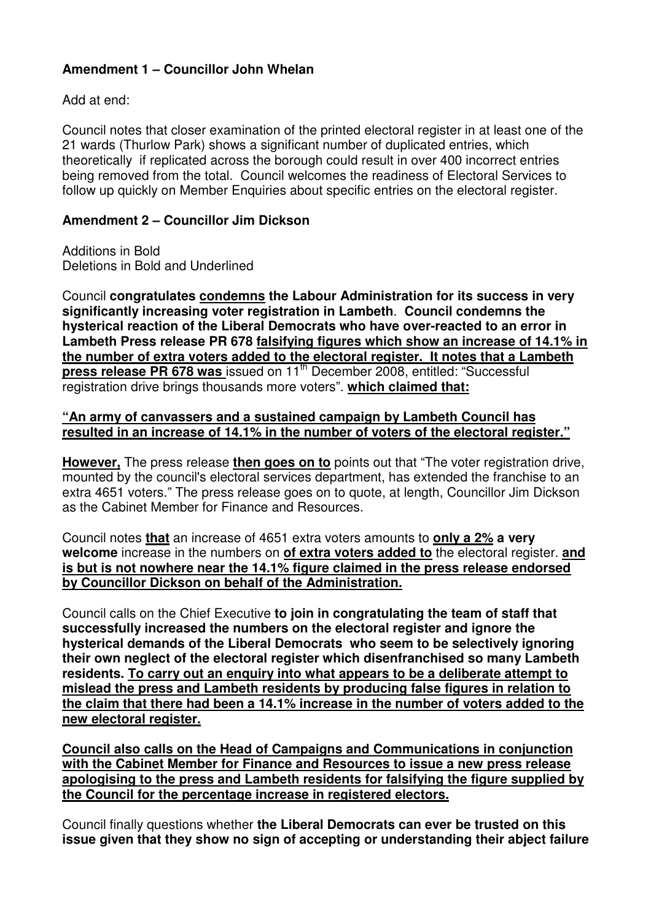# **Amendment 1 – Councillor John Whelan**

Add at end:

Council notes that closer examination of the printed electoral register in at least one of the 21 wards (Thurlow Park) shows a significant number of duplicated entries, which theoretically if replicated across the borough could result in over 400 incorrect entries being removed from the total. Council welcomes the readiness of Electoral Services to follow up quickly on Member Enquiries about specific entries on the electoral register.

# **Amendment 2 – Councillor Jim Dickson**

Additions in Bold Deletions in Bold and Underlined

Council **congratulates condemns the Labour Administration for its success in very significantly increasing voter registration in Lambeth**. **Council condemns the hysterical reaction of the Liberal Democrats who have over-reacted to an error in Lambeth Press release PR 678 falsifying figures which show an increase of 14.1% in the number of extra voters added to the electoral register. It notes that a Lambeth press release PR 678 was** issued on 11<sup>th</sup> December 2008, entitled: "Successful registration drive brings thousands more voters". **which claimed that:**

### **"An army of canvassers and a sustained campaign by Lambeth Council has resulted in an increase of 14.1% in the number of voters of the electoral register."**

**However,** The press release **then goes on to** points out that "The voter registration drive, mounted by the council's electoral services department, has extended the franchise to an extra 4651 voters." The press release goes on to quote, at length, Councillor Jim Dickson as the Cabinet Member for Finance and Resources.

Council notes **that** an increase of 4651 extra voters amounts to **only a 2% a very welcome** increase in the numbers on **of extra voters added to** the electoral register. **and is but is not nowhere near the 14.1% figure claimed in the press release endorsed by Councillor Dickson on behalf of the Administration.**

Council calls on the Chief Executive **to join in congratulating the team of staff that successfully increased the numbers on the electoral register and ignore the hysterical demands of the Liberal Democrats who seem to be selectively ignoring their own neglect of the electoral register which disenfranchised so many Lambeth residents. To carry out an enquiry into what appears to be a deliberate attempt to mislead the press and Lambeth residents by producing false figures in relation to the claim that there had been a 14.1% increase in the number of voters added to the new electoral register.**

**Council also calls on the Head of Campaigns and Communications in conjunction with the Cabinet Member for Finance and Resources to issue a new press release apologising to the press and Lambeth residents for falsifying the figure supplied by the Council for the percentage increase in registered electors.**

Council finally questions whether **the Liberal Democrats can ever be trusted on this issue given that they show no sign of accepting or understanding their abject failure**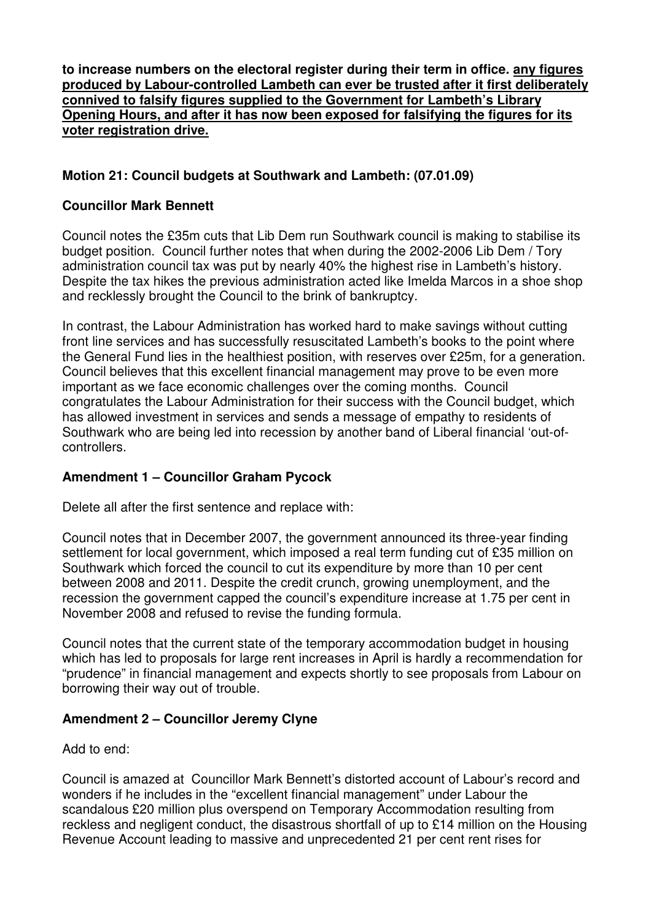**to increase numbers on the electoral register during their term in office. any figures produced by Labour-controlled Lambeth can ever be trusted after it first deliberately connived to falsify figures supplied to the Government for Lambeth's Library Opening Hours, and after it has now been exposed for falsifying the figures for its voter registration drive.**

# **Motion 21: Council budgets at Southwark and Lambeth: (07.01.09)**

### **Councillor Mark Bennett**

Council notes the £35m cuts that Lib Dem run Southwark council is making to stabilise its budget position. Council further notes that when during the 2002-2006 Lib Dem / Tory administration council tax was put by nearly 40% the highest rise in Lambeth's history. Despite the tax hikes the previous administration acted like Imelda Marcos in a shoe shop and recklessly brought the Council to the brink of bankruptcy.

In contrast, the Labour Administration has worked hard to make savings without cutting front line services and has successfully resuscitated Lambeth's books to the point where the General Fund lies in the healthiest position, with reserves over £25m, for a generation. Council believes that this excellent financial management may prove to be even more important as we face economic challenges over the coming months. Council congratulates the Labour Administration for their success with the Council budget, which has allowed investment in services and sends a message of empathy to residents of Southwark who are being led into recession by another band of Liberal financial 'out-ofcontrollers.

# **Amendment 1 – Councillor Graham Pycock**

Delete all after the first sentence and replace with:

Council notes that in December 2007, the government announced its three-year finding settlement for local government, which imposed a real term funding cut of £35 million on Southwark which forced the council to cut its expenditure by more than 10 per cent between 2008 and 2011. Despite the credit crunch, growing unemployment, and the recession the government capped the council's expenditure increase at 1.75 per cent in November 2008 and refused to revise the funding formula.

Council notes that the current state of the temporary accommodation budget in housing which has led to proposals for large rent increases in April is hardly a recommendation for "prudence" in financial management and expects shortly to see proposals from Labour on borrowing their way out of trouble.

### **Amendment 2 – Councillor Jeremy Clyne**

Add to end:

Council is amazed at Councillor Mark Bennett's distorted account of Labour's record and wonders if he includes in the "excellent financial management" under Labour the scandalous £20 million plus overspend on Temporary Accommodation resulting from reckless and negligent conduct, the disastrous shortfall of up to £14 million on the Housing Revenue Account leading to massive and unprecedented 21 per cent rent rises for